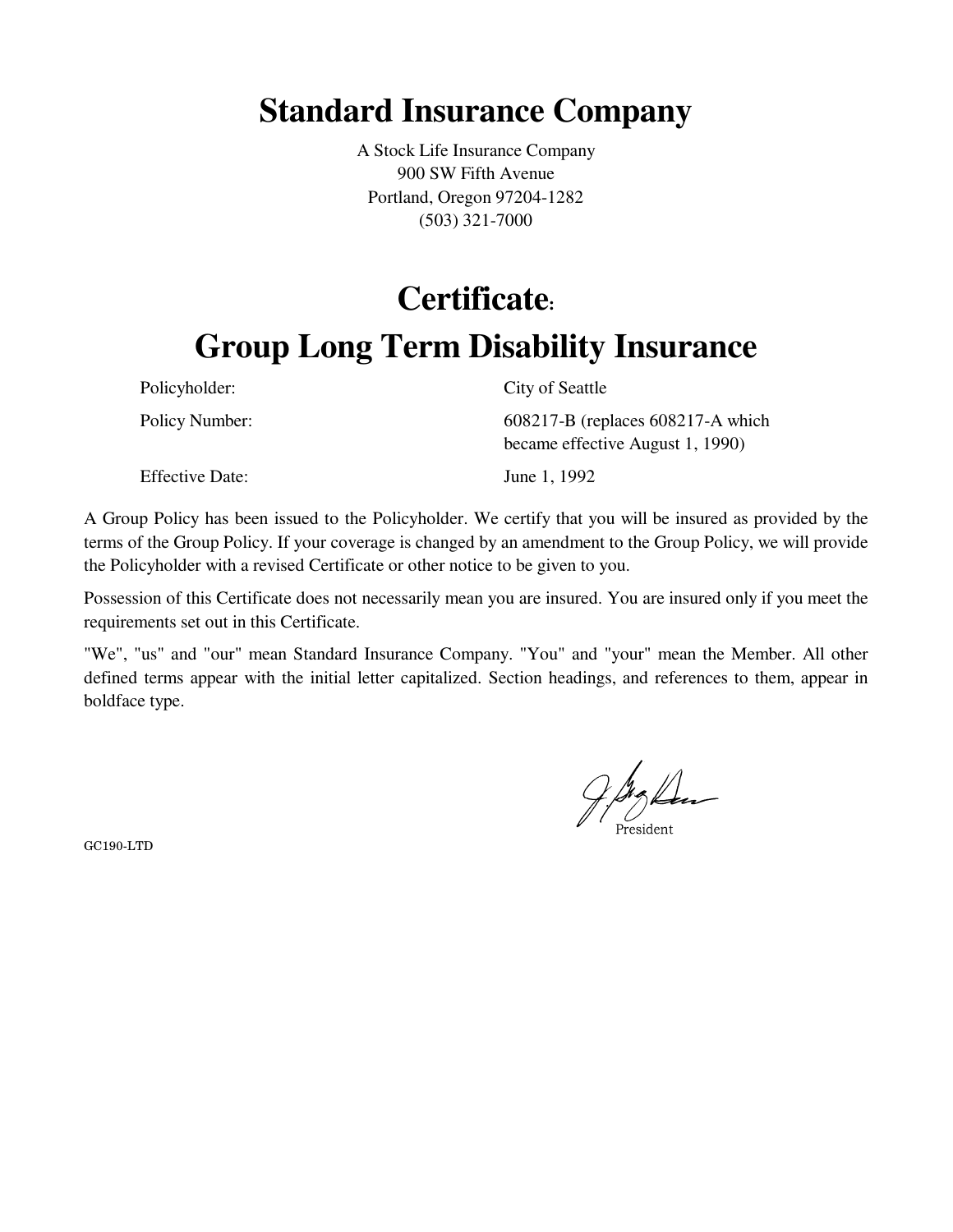#### **Standard Insurance Company**

A Stock Life Insurance Company 900 SW Fifth Avenue Portland, Oregon 97204-1282 (503) 321-7000

# **Certificate: Group Long Term Disability Insurance**

| Policyholder:          | City of Seattle                                                           |
|------------------------|---------------------------------------------------------------------------|
| Policy Number:         | $608217-B$ (replaces $608217-A$ which<br>became effective August 1, 1990) |
| <b>Effective Date:</b> | June 1, 1992                                                              |

A Group Policy has been issued to the Policyholder. We certify that you will be insured as provided by the terms of the Group Policy. If your coverage is changed by an amendment to the Group Policy, we will provide the Policyholder with a revised Certificate or other notice to be given to you.

Possession of this Certificate does not necessarily mean you are insured. You are insured only if you meet the requirements set out in this Certificate.

"We", "us" and "our" mean Standard Insurance Company. "You" and "your" mean the Member. All other defined terms appear with the initial letter capitalized. Section headings, and references to them, appear in boldface type.

Grof Len

GC190-LTD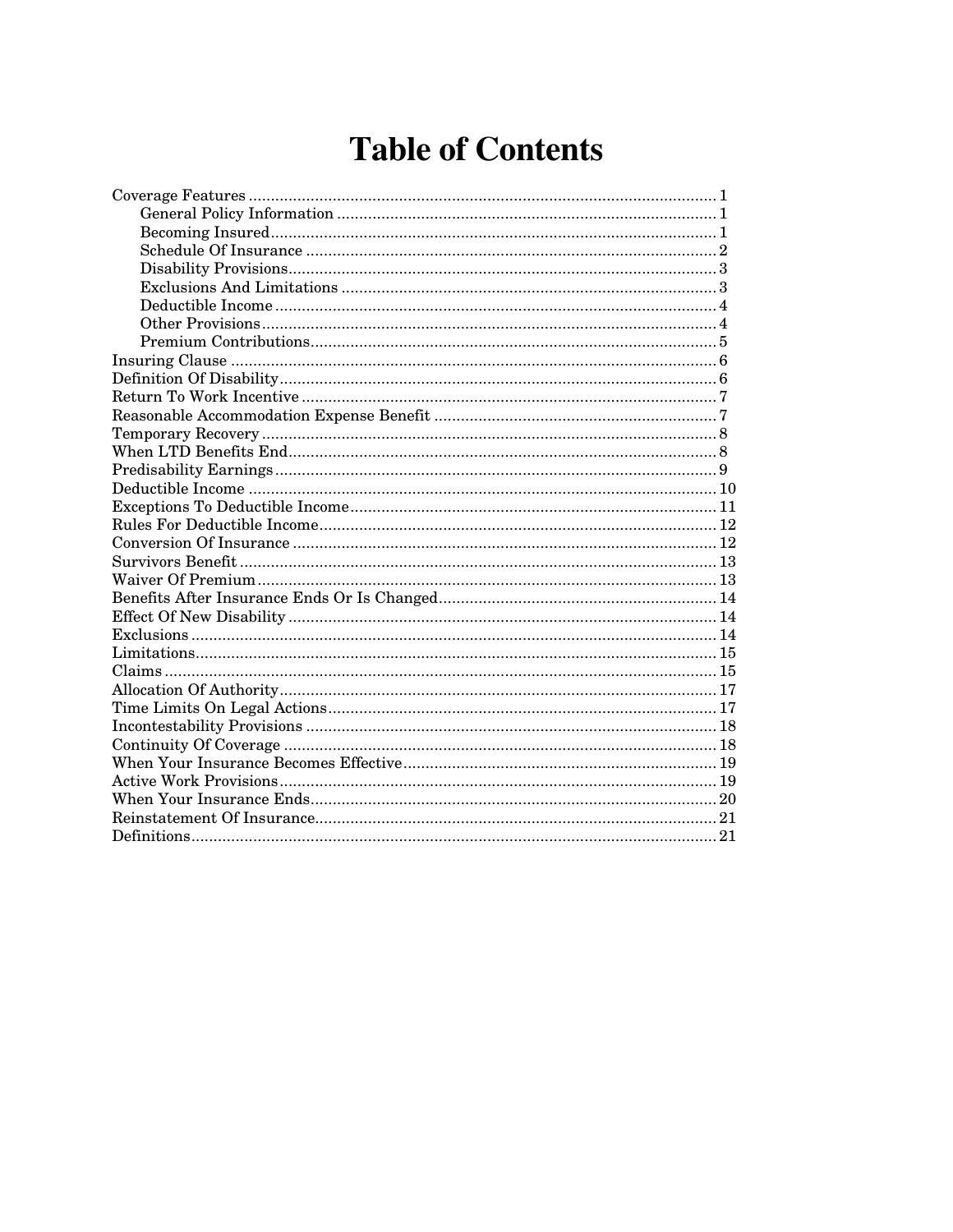# **Table of Contents**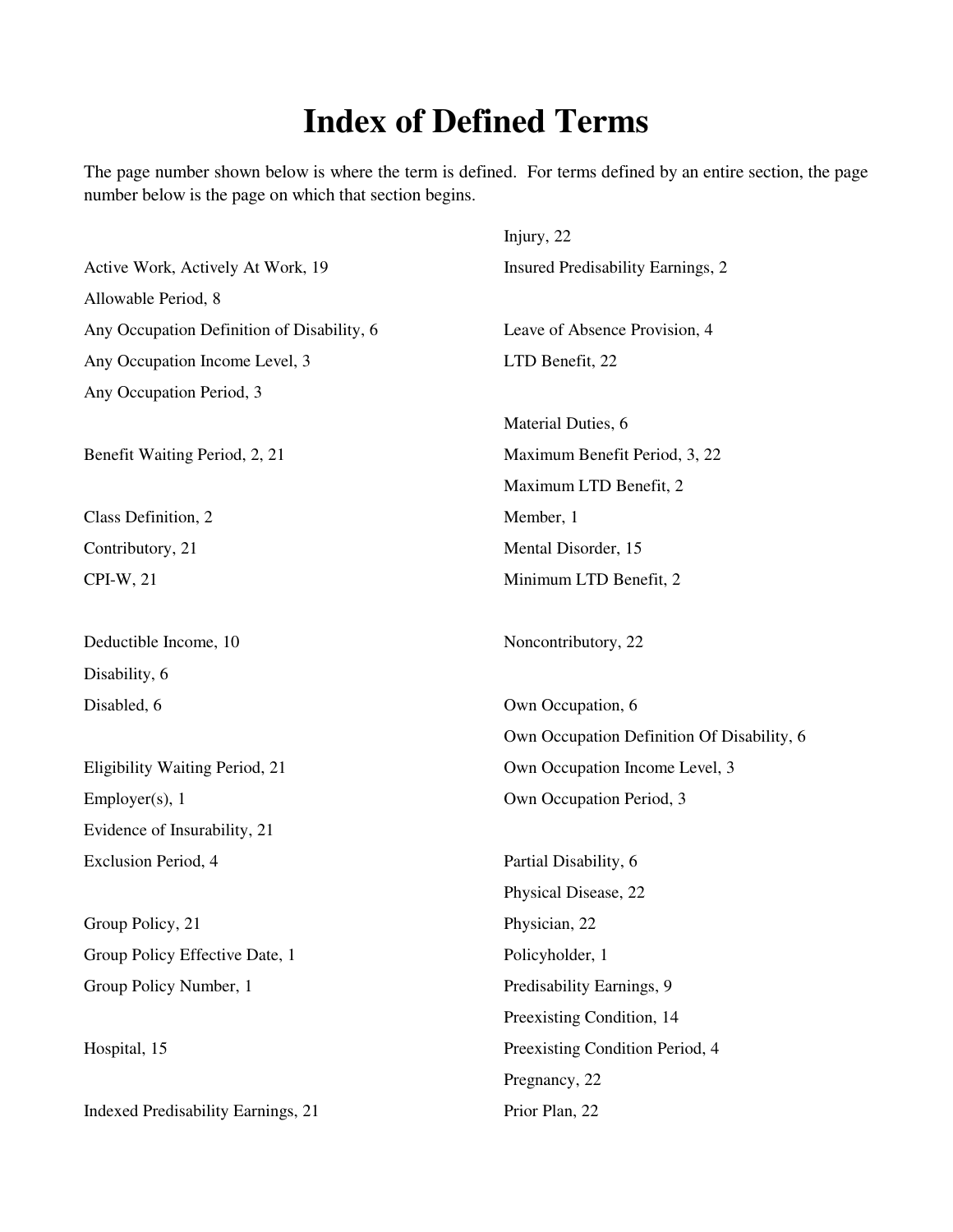### **Index of Defined Terms**

The page number shown below is where the term is defined. For terms defined by an entire section, the page number below is the page on which that section begins.

|                                            | Injury, 22                                 |
|--------------------------------------------|--------------------------------------------|
| Active Work, Actively At Work, 19          | Insured Predisability Earnings, 2          |
| Allowable Period, 8                        |                                            |
| Any Occupation Definition of Disability, 6 | Leave of Absence Provision, 4              |
| Any Occupation Income Level, 3             | LTD Benefit, 22                            |
| Any Occupation Period, 3                   |                                            |
|                                            | Material Duties, 6                         |
| Benefit Waiting Period, 2, 21              | Maximum Benefit Period, 3, 22              |
|                                            | Maximum LTD Benefit, 2                     |
| Class Definition, 2                        | Member, 1                                  |
| Contributory, 21                           | Mental Disorder, 15                        |
| CPI-W, 21                                  | Minimum LTD Benefit, 2                     |
| Deductible Income, 10                      | Noncontributory, 22                        |
| Disability, 6                              |                                            |
| Disabled, 6                                | Own Occupation, 6                          |
|                                            | Own Occupation Definition Of Disability, 6 |
| Eligibility Waiting Period, 21             | Own Occupation Income Level, 3             |
| Emplayer(s), 1                             | Own Occupation Period, 3                   |
| Evidence of Insurability, 21               |                                            |
| <b>Exclusion Period</b> , 4                | Partial Disability, 6                      |
|                                            | Physical Disease, 22                       |
| Group Policy, 21                           | Physician, 22                              |
| Group Policy Effective Date, 1             | Policyholder, 1                            |
| Group Policy Number, 1                     | Predisability Earnings, 9                  |
|                                            | Preexisting Condition, 14                  |
| Hospital, 15                               | Preexisting Condition Period, 4            |
|                                            | Pregnancy, 22                              |
| <b>Indexed Predisability Earnings, 21</b>  | Prior Plan, 22                             |
|                                            |                                            |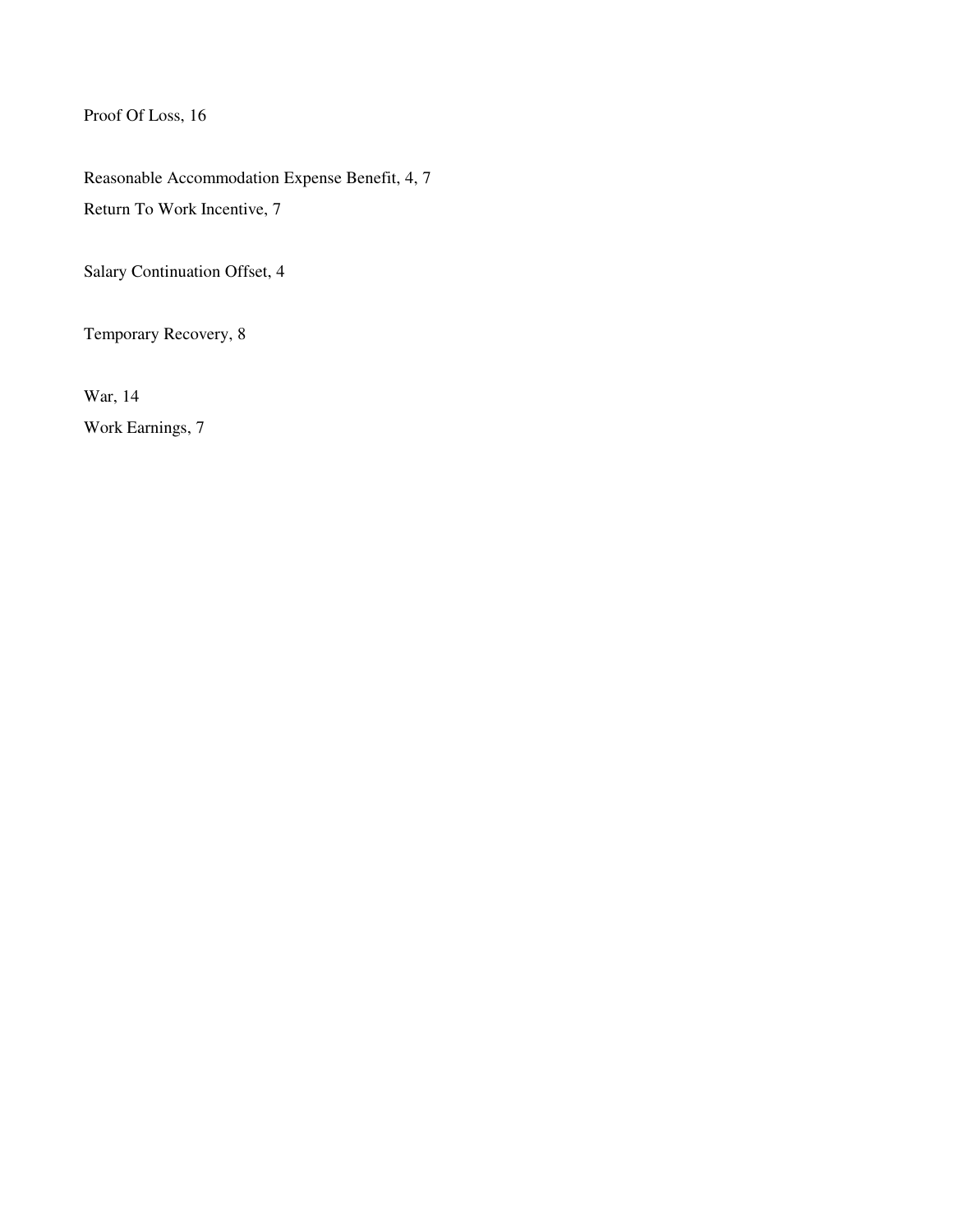#### Proof Of Loss, 16

Reasonable Accommodation Expense Benefit, 4, 7 Return To Work Incentive, 7

Salary Continuation Offset, 4

Temporary Recovery, 8

War, 14 Work Earnings, 7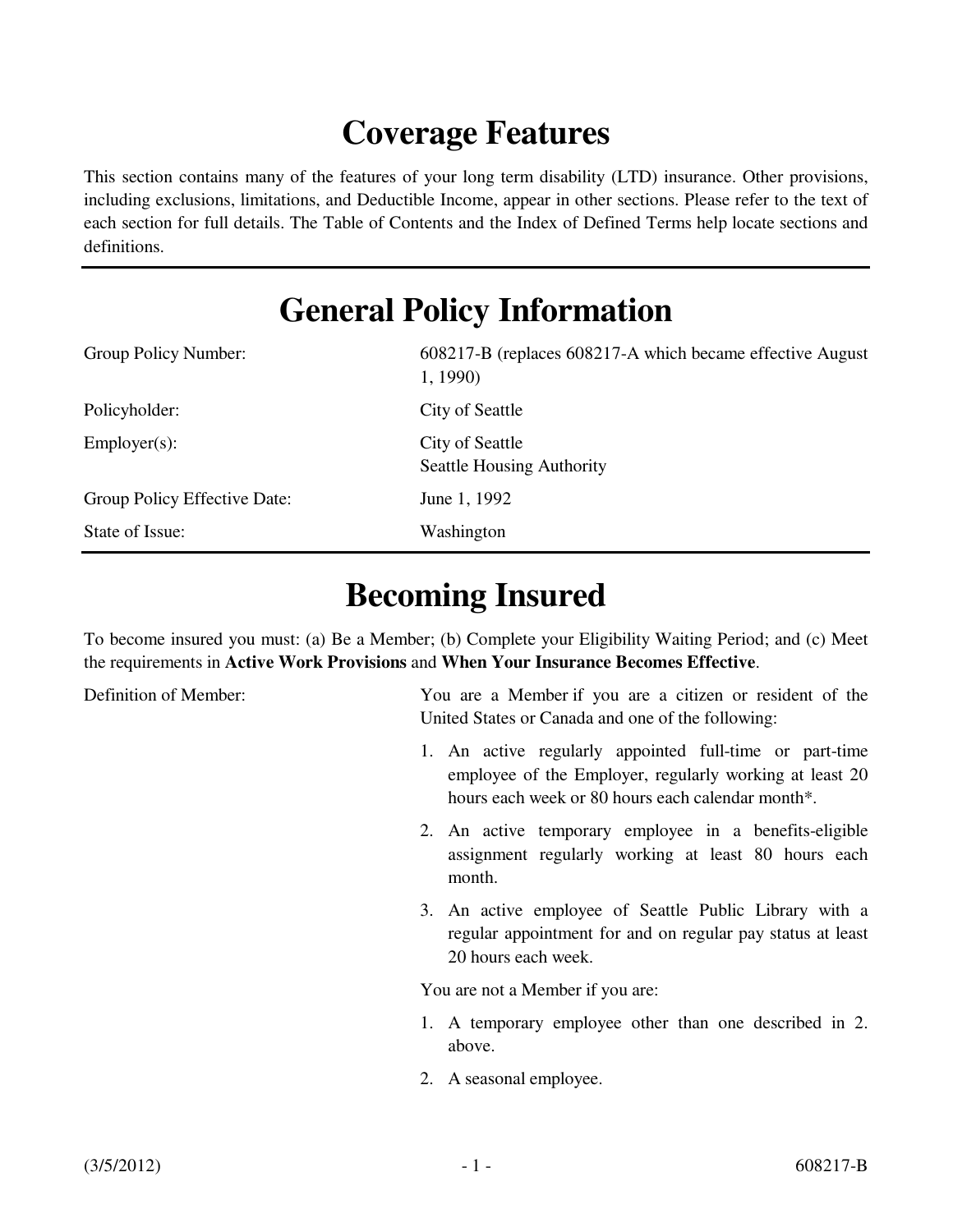## **Coverage Features**

This section contains many of the features of your long term disability (LTD) insurance. Other provisions, including exclusions, limitations, and Deductible Income, appear in other sections. Please refer to the text of each section for full details. The Table of Contents and the Index of Defined Terms help locate sections and definitions.

| <b>General Policy Information</b> |                                                                      |  |
|-----------------------------------|----------------------------------------------------------------------|--|
| Group Policy Number:              | 608217-B (replaces 608217-A which became effective August<br>1, 1990 |  |
| Policyholder:                     | City of Seattle                                                      |  |
| $Emplover(s)$ :                   | City of Seattle<br><b>Seattle Housing Authority</b>                  |  |
| Group Policy Effective Date:      | June 1, 1992                                                         |  |
| State of Issue:                   | Washington                                                           |  |

### **Becoming Insured**

To become insured you must: (a) Be a Member; (b) Complete your Eligibility Waiting Period; and (c) Meet the requirements in **Active Work Provisions** and **When Your Insurance Becomes Effective**.

Definition of Member: You are a Member if you are a citizen or resident of the United States or Canada and one of the following:

- 1. An active regularly appointed full-time or part-time employee of the Employer, regularly working at least 20 hours each week or 80 hours each calendar month\*.
- 2. An active temporary employee in a benefits-eligible assignment regularly working at least 80 hours each month.
- 3. An active employee of Seattle Public Library with a regular appointment for and on regular pay status at least 20 hours each week.

You are not a Member if you are:

- 1. A temporary employee other than one described in 2. above.
- 2. A seasonal employee.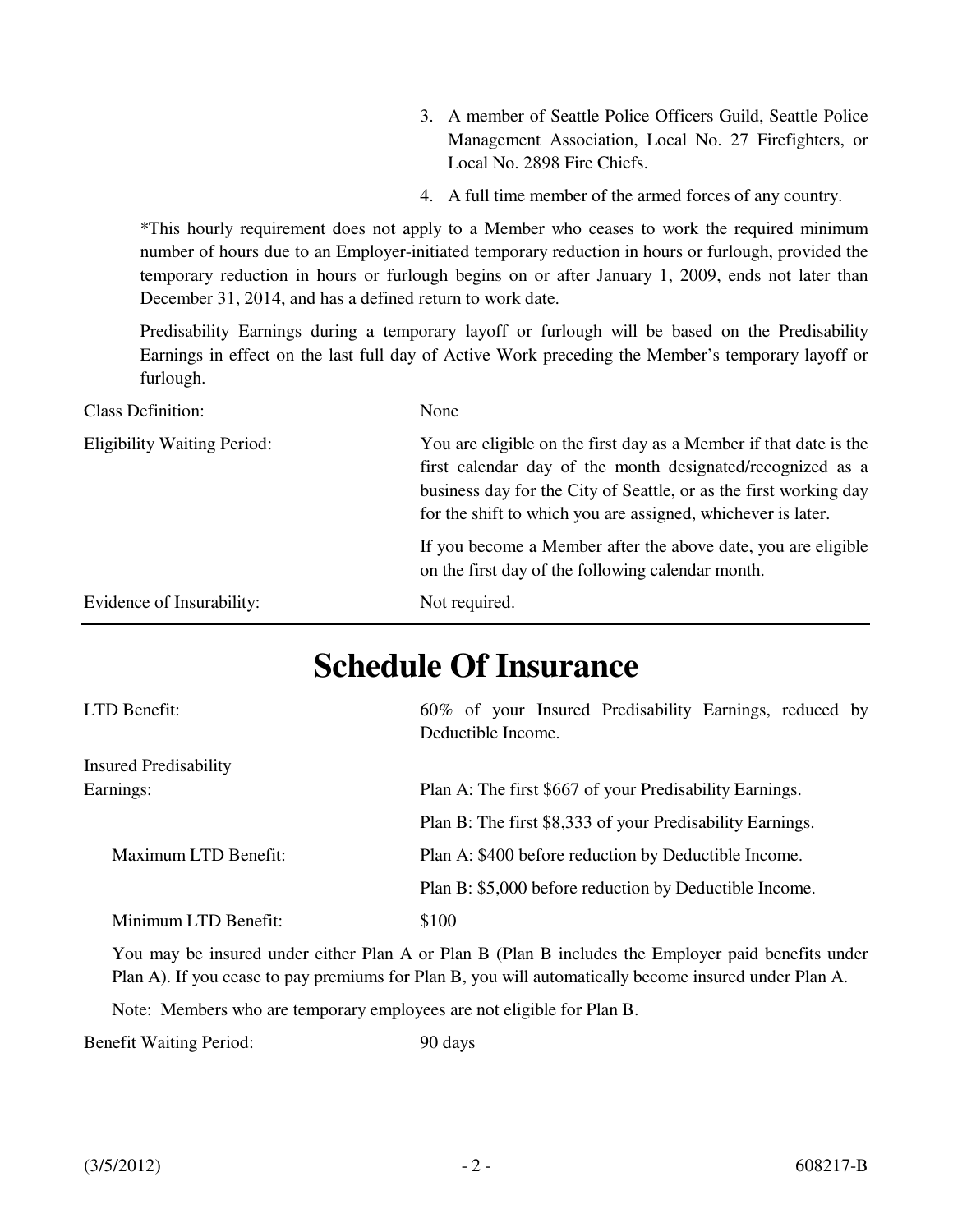- 3. A member of Seattle Police Officers Guild, Seattle Police Management Association, Local No. 27 Firefighters, or Local No. 2898 Fire Chiefs.
- 4. A full time member of the armed forces of any country.

\*This hourly requirement does not apply to a Member who ceases to work the required minimum number of hours due to an Employer-initiated temporary reduction in hours or furlough, provided the temporary reduction in hours or furlough begins on or after January 1, 2009, ends not later than December 31, 2014, and has a defined return to work date.

Predisability Earnings during a temporary layoff or furlough will be based on the Predisability Earnings in effect on the last full day of Active Work preceding the Member's temporary layoff or furlough.

| <b>Class Definition:</b>           | None                                                                                                                                                                                                                                                                 |
|------------------------------------|----------------------------------------------------------------------------------------------------------------------------------------------------------------------------------------------------------------------------------------------------------------------|
| <b>Eligibility Waiting Period:</b> | You are eligible on the first day as a Member if that date is the<br>first calendar day of the month designated/recognized as a<br>business day for the City of Seattle, or as the first working day<br>for the shift to which you are assigned, whichever is later. |
|                                    | If you become a Member after the above date, you are eligible<br>on the first day of the following calendar month.                                                                                                                                                   |
| Evidence of Insurability:          | Not required.                                                                                                                                                                                                                                                        |

#### **Schedule Of Insurance**

| LTD Benefit:                 | 60% of your Insured Predisability Earnings, reduced by<br>Deductible Income. |
|------------------------------|------------------------------------------------------------------------------|
| <b>Insured Predisability</b> |                                                                              |
| Earnings:                    | Plan A: The first \$667 of your Predisability Earnings.                      |
|                              | Plan B: The first \$8,333 of your Predisability Earnings.                    |
| Maximum LTD Benefit:         | Plan A: \$400 before reduction by Deductible Income.                         |
|                              | Plan B: \$5,000 before reduction by Deductible Income.                       |
| Minimum LTD Benefit:         | \$100                                                                        |

You may be insured under either Plan A or Plan B (Plan B includes the Employer paid benefits under Plan A). If you cease to pay premiums for Plan B, you will automatically become insured under Plan A.

Note: Members who are temporary employees are not eligible for Plan B.

Benefit Waiting Period: 90 days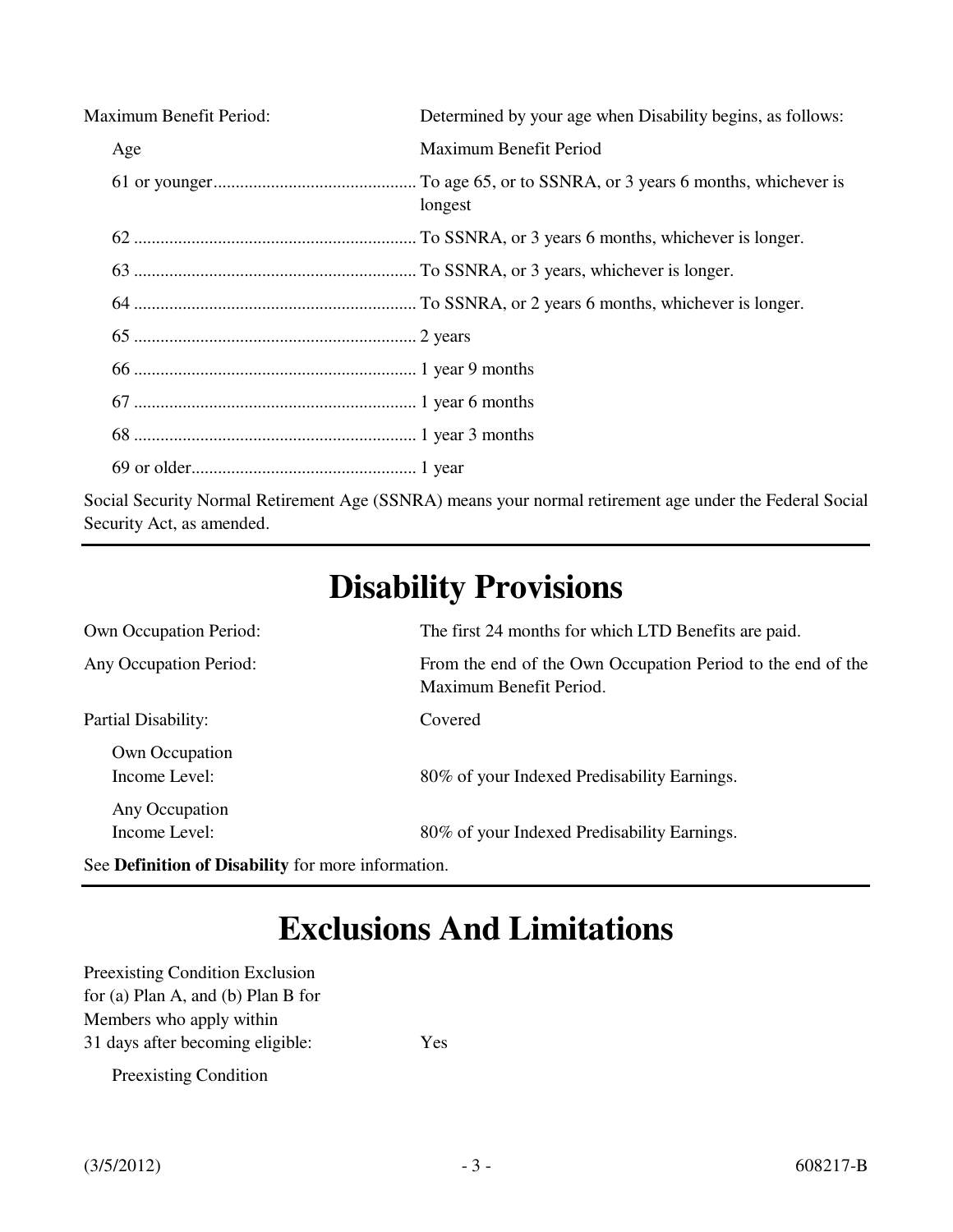| Maximum Benefit Period: | Determined by your age when Disability begins, as follows: |
|-------------------------|------------------------------------------------------------|
| Age                     | Maximum Benefit Period                                     |
|                         | longest                                                    |
|                         |                                                            |
|                         |                                                            |
|                         |                                                            |
|                         |                                                            |
|                         |                                                            |
|                         |                                                            |
|                         |                                                            |
|                         |                                                            |
|                         |                                                            |

Social Security Normal Retirement Age (SSNRA) means your normal retirement age under the Federal Social Security Act, as amended.

# **Disability Provisions**

| <b>Own Occupation Period:</b>   | The first 24 months for which LTD Benefits are paid.                                   |
|---------------------------------|----------------------------------------------------------------------------------------|
| Any Occupation Period:          | From the end of the Own Occupation Period to the end of the<br>Maximum Benefit Period. |
| Partial Disability:             | Covered                                                                                |
| Own Occupation<br>Income Level: | 80% of your Indexed Predisability Earnings.                                            |
| Any Occupation<br>Income Level: | 80% of your Indexed Predisability Earnings.                                            |
|                                 |                                                                                        |

See **Definition of Disability** for more information.

## **Exclusions And Limitations**

Preexisting Condition Exclusion for (a) Plan A, and (b) Plan B for Members who apply within 31 days after becoming eligible: Yes

Preexisting Condition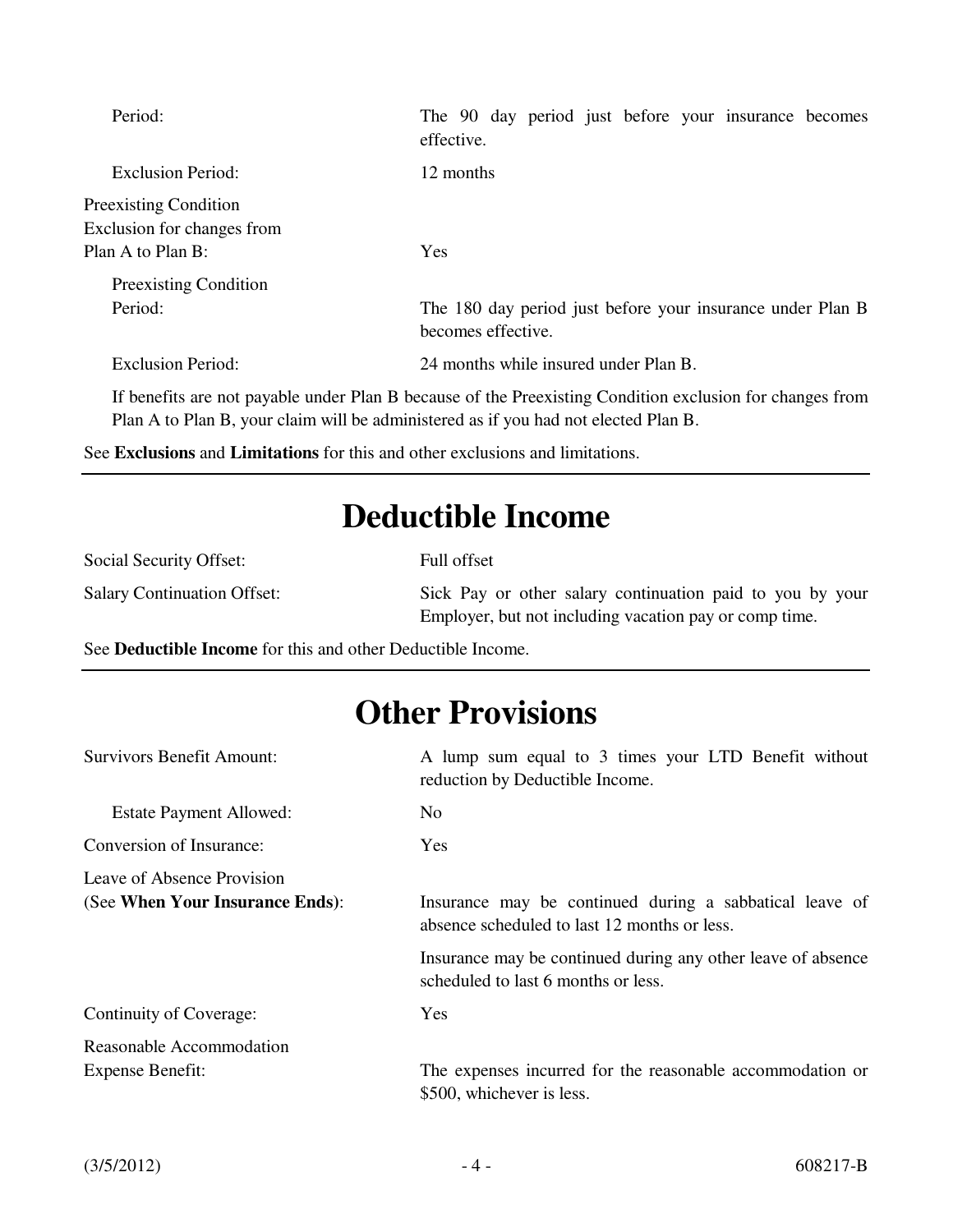| Period:                                                                                | The 90 day period just before your insurance becomes<br>effective.                                       |
|----------------------------------------------------------------------------------------|----------------------------------------------------------------------------------------------------------|
| <b>Exclusion Period:</b>                                                               | 12 months                                                                                                |
| <b>Preexisting Condition</b><br><b>Exclusion for changes from</b><br>Plan A to Plan B: | <b>Yes</b>                                                                                               |
| <b>Preexisting Condition</b><br>Period:                                                | The 180 day period just before your insurance under Plan B<br>becomes effective.                         |
| <b>Exclusion Period:</b>                                                               | 24 months while insured under Plan B.                                                                    |
|                                                                                        | If hangfits are not novable under Dlan D heasure of the Dreavisting Candition avaluation for shapes from |

If benefits are not payable under Plan B because of the Preexisting Condition exclusion for changes from Plan A to Plan B, your claim will be administered as if you had not elected Plan B.

See **Exclusions** and **Limitations** for this and other exclusions and limitations.

#### **Deductible Income**

| Social Security Offset:            | Full offset                                               |
|------------------------------------|-----------------------------------------------------------|
| <b>Salary Continuation Offset:</b> | Sick Pay or other salary continuation paid to you by your |
|                                    | Employer, but not including vacation pay or comp time.    |

See **Deductible Income** for this and other Deductible Income.

## **Other Provisions**

| <b>Survivors Benefit Amount:</b>                              | A lump sum equal to 3 times your LTD Benefit without<br>reduction by Deductible Income.                 |
|---------------------------------------------------------------|---------------------------------------------------------------------------------------------------------|
| <b>Estate Payment Allowed:</b>                                | N <sub>0</sub>                                                                                          |
| Conversion of Insurance:                                      | <b>Yes</b>                                                                                              |
| Leave of Absence Provision<br>(See When Your Insurance Ends): | Insurance may be continued during a sabbatical leave of<br>absence scheduled to last 12 months or less. |
|                                                               | Insurance may be continued during any other leave of absence<br>scheduled to last 6 months or less.     |
| Continuity of Coverage:                                       | <b>Yes</b>                                                                                              |
| Reasonable Accommodation                                      |                                                                                                         |
| <b>Expense Benefit:</b>                                       | The expenses incurred for the reasonable accommodation or<br>\$500, whichever is less.                  |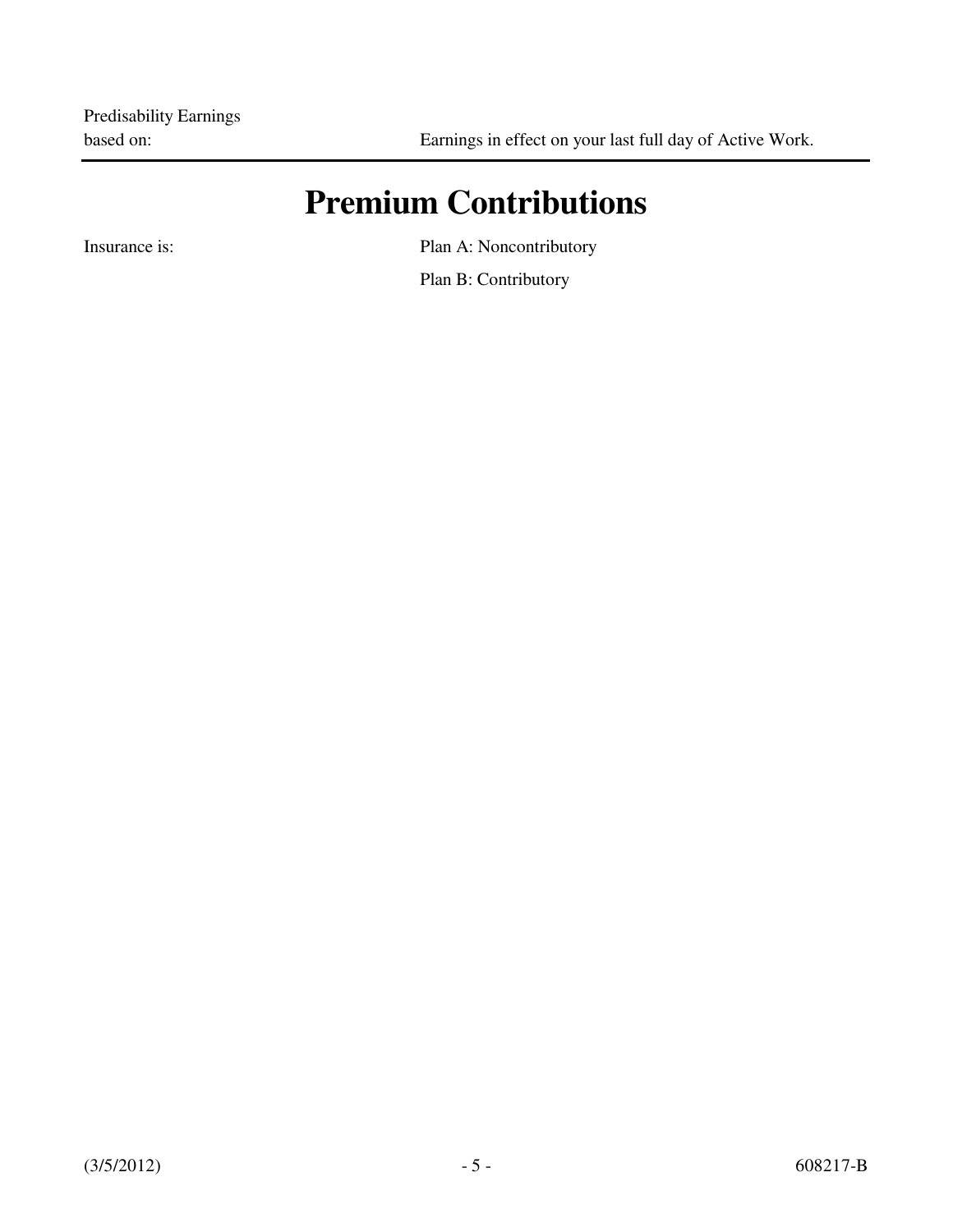# **Premium Contributions**

Insurance is: Plan A: Noncontributory

Plan B: Contributory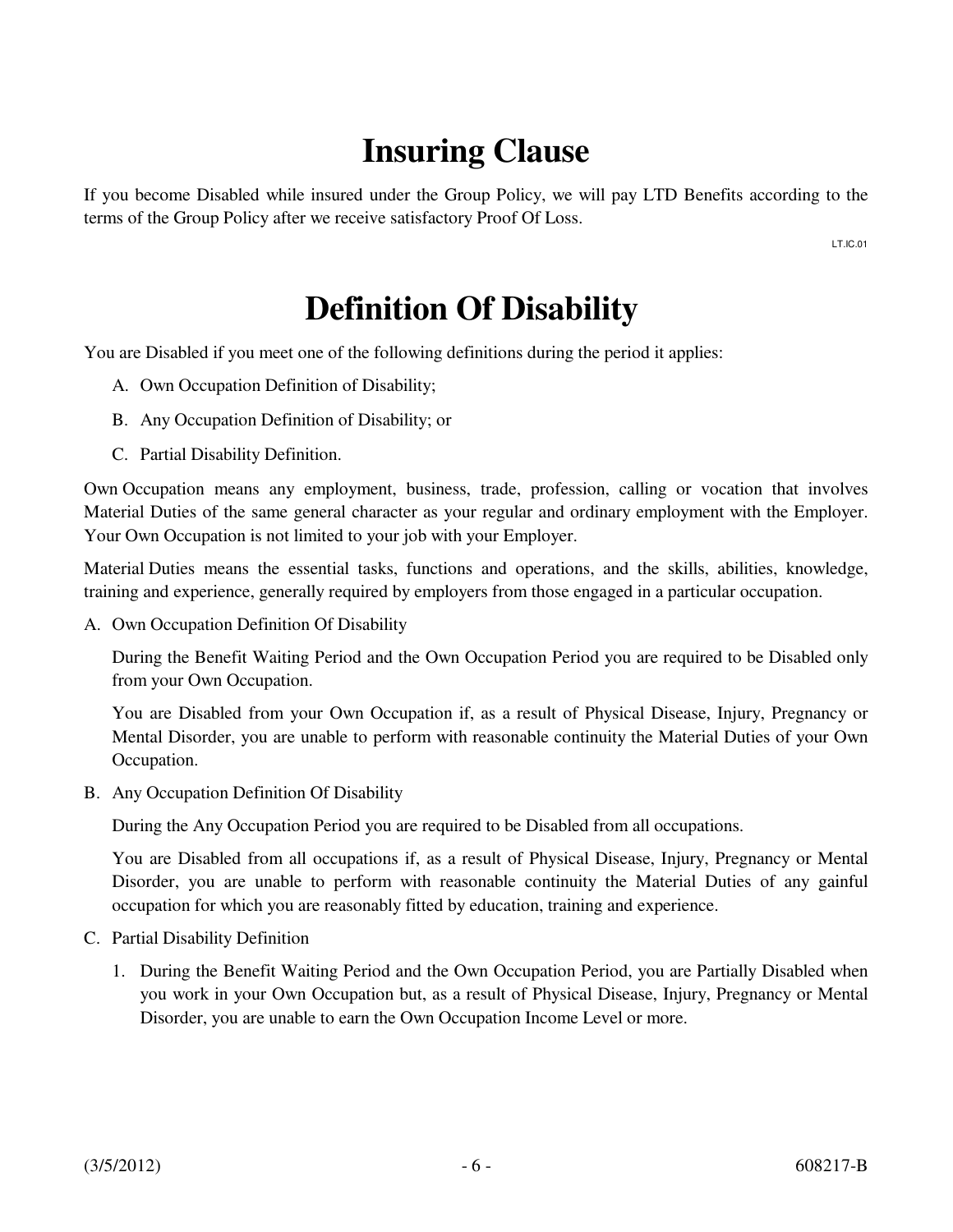# **Insuring Clause**

If you become Disabled while insured under the Group Policy, we will pay LTD Benefits according to the terms of the Group Policy after we receive satisfactory Proof Of Loss.

LT.IC.01

## **Definition Of Disability**

You are Disabled if you meet one of the following definitions during the period it applies:

- A. Own Occupation Definition of Disability;
- B. Any Occupation Definition of Disability; or
- C. Partial Disability Definition.

Own Occupation means any employment, business, trade, profession, calling or vocation that involves Material Duties of the same general character as your regular and ordinary employment with the Employer. Your Own Occupation is not limited to your job with your Employer.

Material Duties means the essential tasks, functions and operations, and the skills, abilities, knowledge, training and experience, generally required by employers from those engaged in a particular occupation.

A. Own Occupation Definition Of Disability

During the Benefit Waiting Period and the Own Occupation Period you are required to be Disabled only from your Own Occupation.

You are Disabled from your Own Occupation if, as a result of Physical Disease, Injury, Pregnancy or Mental Disorder, you are unable to perform with reasonable continuity the Material Duties of your Own Occupation.

B. Any Occupation Definition Of Disability

During the Any Occupation Period you are required to be Disabled from all occupations.

You are Disabled from all occupations if, as a result of Physical Disease, Injury, Pregnancy or Mental Disorder, you are unable to perform with reasonable continuity the Material Duties of any gainful occupation for which you are reasonably fitted by education, training and experience.

- C. Partial Disability Definition
	- 1. During the Benefit Waiting Period and the Own Occupation Period, you are Partially Disabled when you work in your Own Occupation but, as a result of Physical Disease, Injury, Pregnancy or Mental Disorder, you are unable to earn the Own Occupation Income Level or more.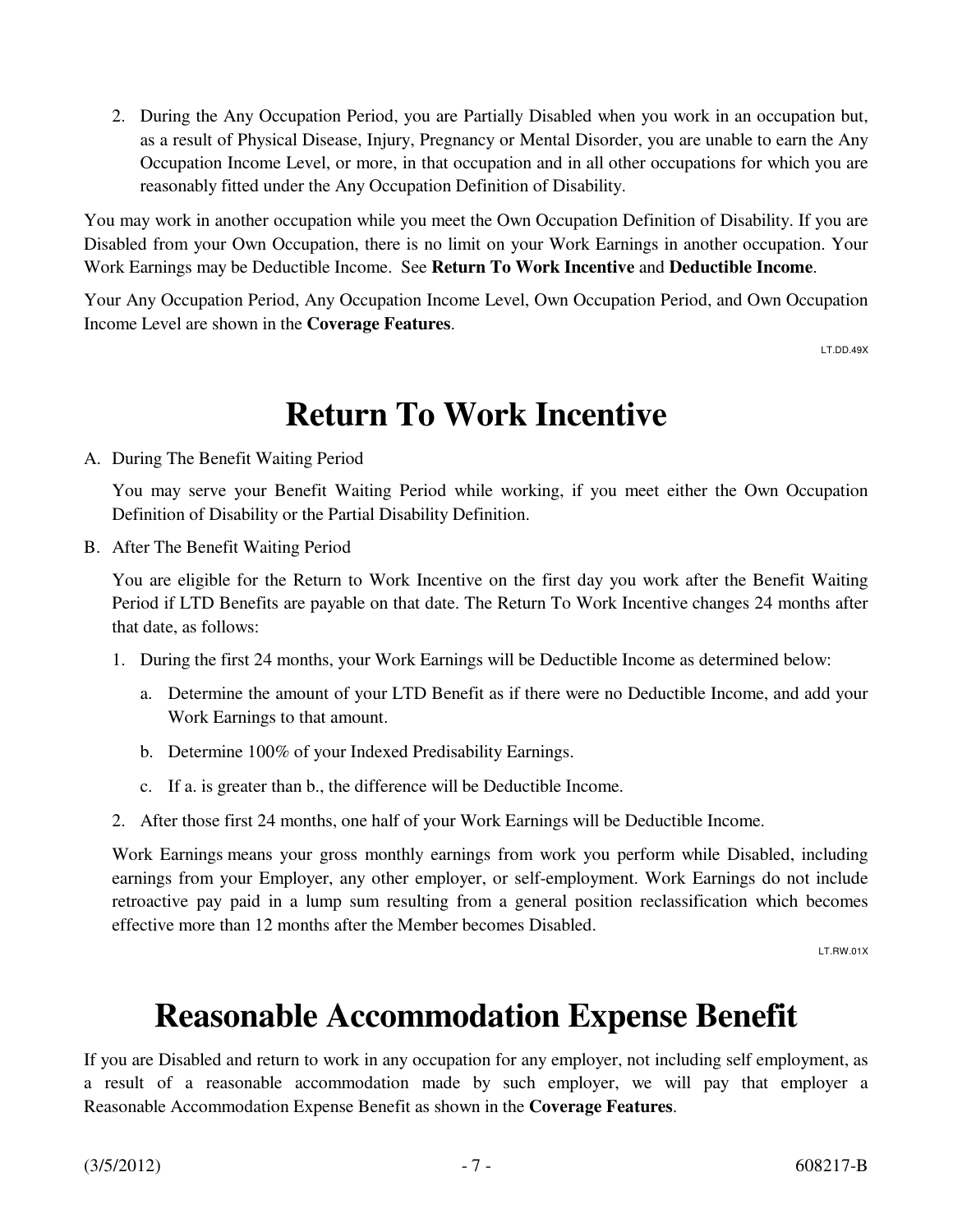2. During the Any Occupation Period, you are Partially Disabled when you work in an occupation but, as a result of Physical Disease, Injury, Pregnancy or Mental Disorder, you are unable to earn the Any Occupation Income Level, or more, in that occupation and in all other occupations for which you are reasonably fitted under the Any Occupation Definition of Disability.

You may work in another occupation while you meet the Own Occupation Definition of Disability. If you are Disabled from your Own Occupation, there is no limit on your Work Earnings in another occupation. Your Work Earnings may be Deductible Income. See **Return To Work Incentive** and **Deductible Income**.

Your Any Occupation Period, Any Occupation Income Level, Own Occupation Period, and Own Occupation Income Level are shown in the **Coverage Features**.

LT.DD.49X

## **Return To Work Incentive**

A. During The Benefit Waiting Period

You may serve your Benefit Waiting Period while working, if you meet either the Own Occupation Definition of Disability or the Partial Disability Definition.

B. After The Benefit Waiting Period

You are eligible for the Return to Work Incentive on the first day you work after the Benefit Waiting Period if LTD Benefits are payable on that date. The Return To Work Incentive changes 24 months after that date, as follows:

- 1. During the first 24 months, your Work Earnings will be Deductible Income as determined below:
	- a. Determine the amount of your LTD Benefit as if there were no Deductible Income, and add your Work Earnings to that amount.
	- b. Determine 100% of your Indexed Predisability Earnings.
	- c. If a. is greater than b., the difference will be Deductible Income.
- 2. After those first 24 months, one half of your Work Earnings will be Deductible Income.

Work Earnings means your gross monthly earnings from work you perform while Disabled, including earnings from your Employer, any other employer, or self-employment. Work Earnings do not include retroactive pay paid in a lump sum resulting from a general position reclassification which becomes effective more than 12 months after the Member becomes Disabled.

LT.RW.01X

#### **Reasonable Accommodation Expense Benefit**

If you are Disabled and return to work in any occupation for any employer, not including self employment, as a result of a reasonable accommodation made by such employer, we will pay that employer a Reasonable Accommodation Expense Benefit as shown in the **Coverage Features**.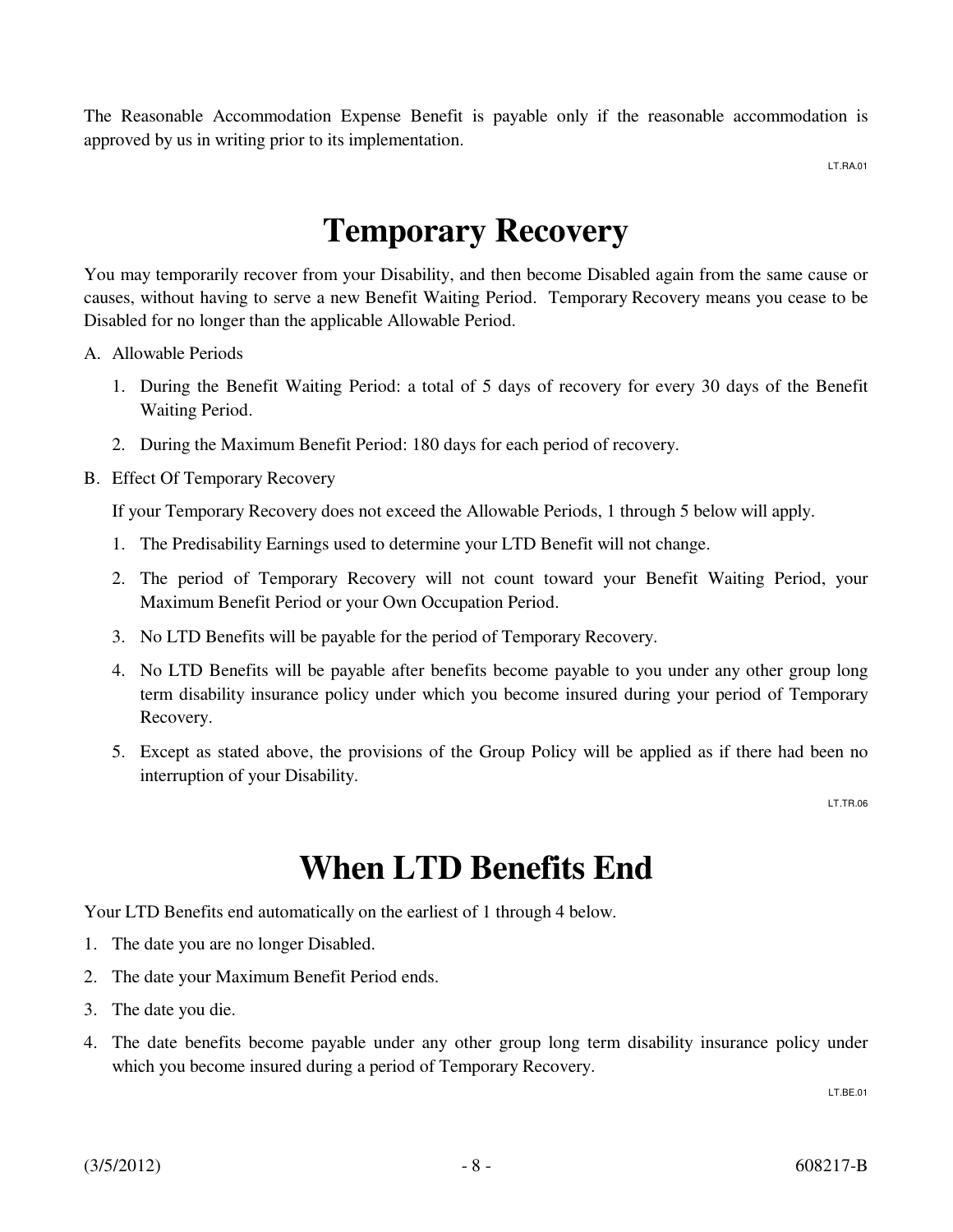The Reasonable Accommodation Expense Benefit is payable only if the reasonable accommodation is approved by us in writing prior to its implementation.

LT.RA.01

# **Temporary Recovery**

You may temporarily recover from your Disability, and then become Disabled again from the same cause or causes, without having to serve a new Benefit Waiting Period. Temporary Recovery means you cease to be Disabled for no longer than the applicable Allowable Period.

- A. Allowable Periods
	- 1. During the Benefit Waiting Period: a total of 5 days of recovery for every 30 days of the Benefit Waiting Period.
	- 2. During the Maximum Benefit Period: 180 days for each period of recovery.
- B. Effect Of Temporary Recovery

If your Temporary Recovery does not exceed the Allowable Periods, 1 through 5 below will apply.

- 1. The Predisability Earnings used to determine your LTD Benefit will not change.
- 2. The period of Temporary Recovery will not count toward your Benefit Waiting Period, your Maximum Benefit Period or your Own Occupation Period.
- 3. No LTD Benefits will be payable for the period of Temporary Recovery.
- 4. No LTD Benefits will be payable after benefits become payable to you under any other group long term disability insurance policy under which you become insured during your period of Temporary Recovery.
- 5. Except as stated above, the provisions of the Group Policy will be applied as if there had been no interruption of your Disability.

LT.TR.06

## **When LTD Benefits End**

Your LTD Benefits end automatically on the earliest of 1 through 4 below.

- 1. The date you are no longer Disabled.
- 2. The date your Maximum Benefit Period ends.
- 3. The date you die.
- 4. The date benefits become payable under any other group long term disability insurance policy under which you become insured during a period of Temporary Recovery.

LT.BE.01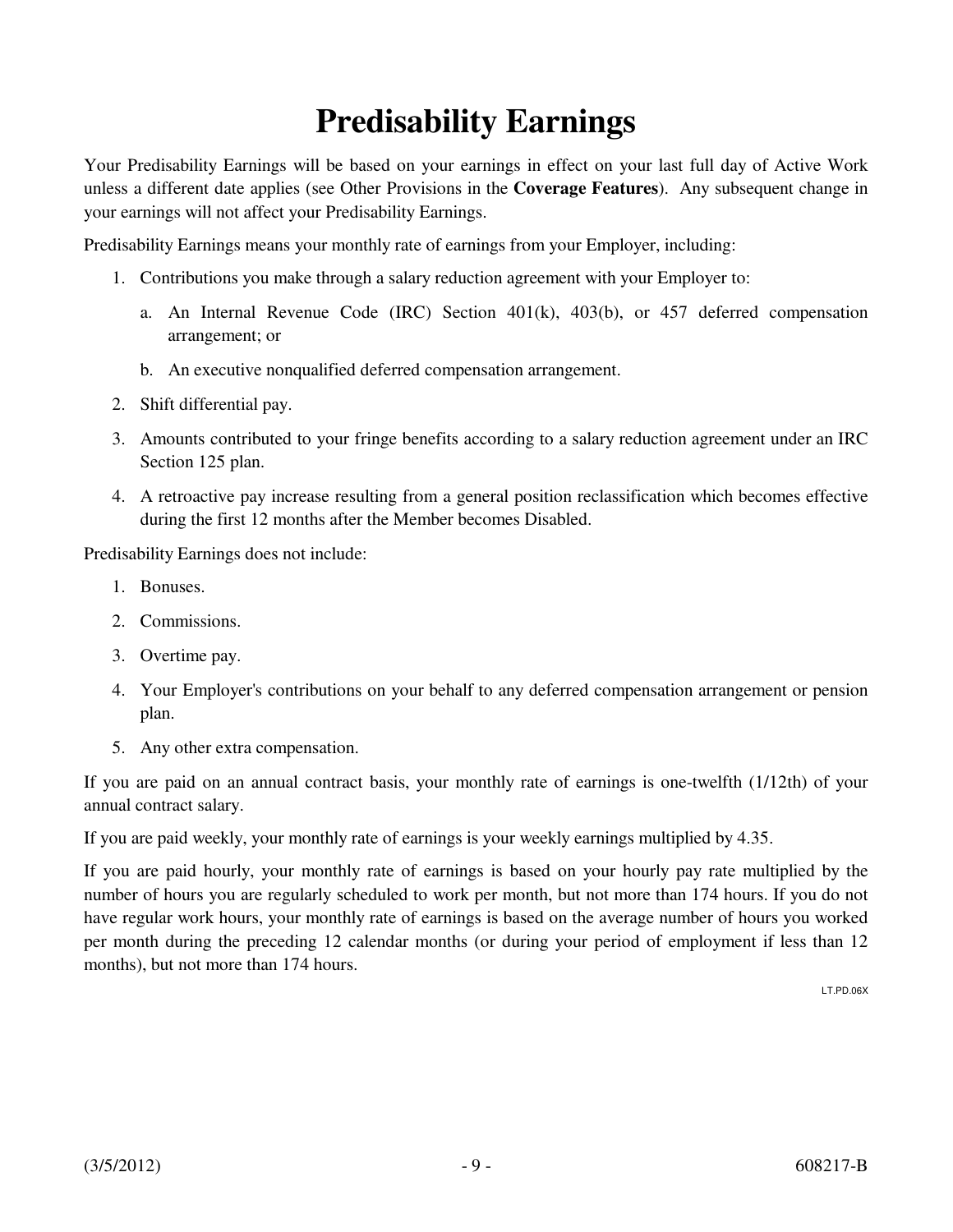# **Predisability Earnings**

Your Predisability Earnings will be based on your earnings in effect on your last full day of Active Work unless a different date applies (see Other Provisions in the **Coverage Features**). Any subsequent change in your earnings will not affect your Predisability Earnings.

Predisability Earnings means your monthly rate of earnings from your Employer, including:

- 1. Contributions you make through a salary reduction agreement with your Employer to:
	- a. An Internal Revenue Code (IRC) Section 401(k), 403(b), or 457 deferred compensation arrangement; or
	- b. An executive nonqualified deferred compensation arrangement.
- 2. Shift differential pay.
- 3. Amounts contributed to your fringe benefits according to a salary reduction agreement under an IRC Section 125 plan.
- 4. A retroactive pay increase resulting from a general position reclassification which becomes effective during the first 12 months after the Member becomes Disabled.

Predisability Earnings does not include:

- 1. Bonuses.
- 2. Commissions.
- 3. Overtime pay.
- 4. Your Employer's contributions on your behalf to any deferred compensation arrangement or pension plan.
- 5. Any other extra compensation.

If you are paid on an annual contract basis, your monthly rate of earnings is one-twelfth (1/12th) of your annual contract salary.

If you are paid weekly, your monthly rate of earnings is your weekly earnings multiplied by 4.35.

If you are paid hourly, your monthly rate of earnings is based on your hourly pay rate multiplied by the number of hours you are regularly scheduled to work per month, but not more than 174 hours. If you do not have regular work hours, your monthly rate of earnings is based on the average number of hours you worked per month during the preceding 12 calendar months (or during your period of employment if less than 12 months), but not more than 174 hours.

LT.PD.06X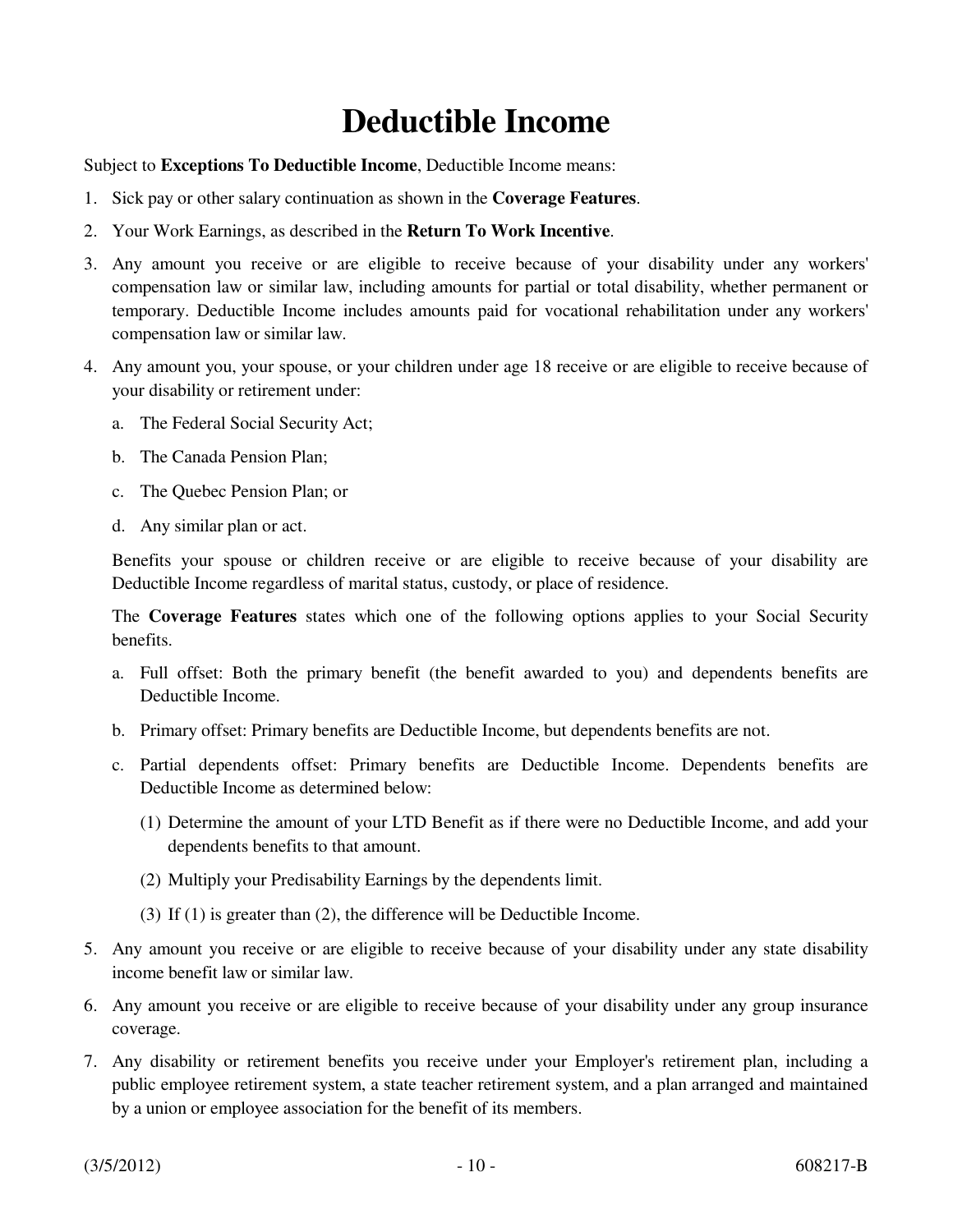# **Deductible Income**

Subject to **Exceptions To Deductible Income**, Deductible Income means:

- 1. Sick pay or other salary continuation as shown in the **Coverage Features**.
- 2. Your Work Earnings, as described in the **Return To Work Incentive**.
- 3. Any amount you receive or are eligible to receive because of your disability under any workers' compensation law or similar law, including amounts for partial or total disability, whether permanent or temporary. Deductible Income includes amounts paid for vocational rehabilitation under any workers' compensation law or similar law.
- 4. Any amount you, your spouse, or your children under age 18 receive or are eligible to receive because of your disability or retirement under:
	- a. The Federal Social Security Act;
	- b. The Canada Pension Plan;
	- c. The Quebec Pension Plan; or
	- d. Any similar plan or act.

Benefits your spouse or children receive or are eligible to receive because of your disability are Deductible Income regardless of marital status, custody, or place of residence.

The **Coverage Features** states which one of the following options applies to your Social Security benefits.

- a. Full offset: Both the primary benefit (the benefit awarded to you) and dependents benefits are Deductible Income.
- b. Primary offset: Primary benefits are Deductible Income, but dependents benefits are not.
- c. Partial dependents offset: Primary benefits are Deductible Income. Dependents benefits are Deductible Income as determined below:
	- (1) Determine the amount of your LTD Benefit as if there were no Deductible Income, and add your dependents benefits to that amount.
	- (2) Multiply your Predisability Earnings by the dependents limit.
	- (3) If (1) is greater than (2), the difference will be Deductible Income.
- 5. Any amount you receive or are eligible to receive because of your disability under any state disability income benefit law or similar law.
- 6. Any amount you receive or are eligible to receive because of your disability under any group insurance coverage.
- 7. Any disability or retirement benefits you receive under your Employer's retirement plan, including a public employee retirement system, a state teacher retirement system, and a plan arranged and maintained by a union or employee association for the benefit of its members.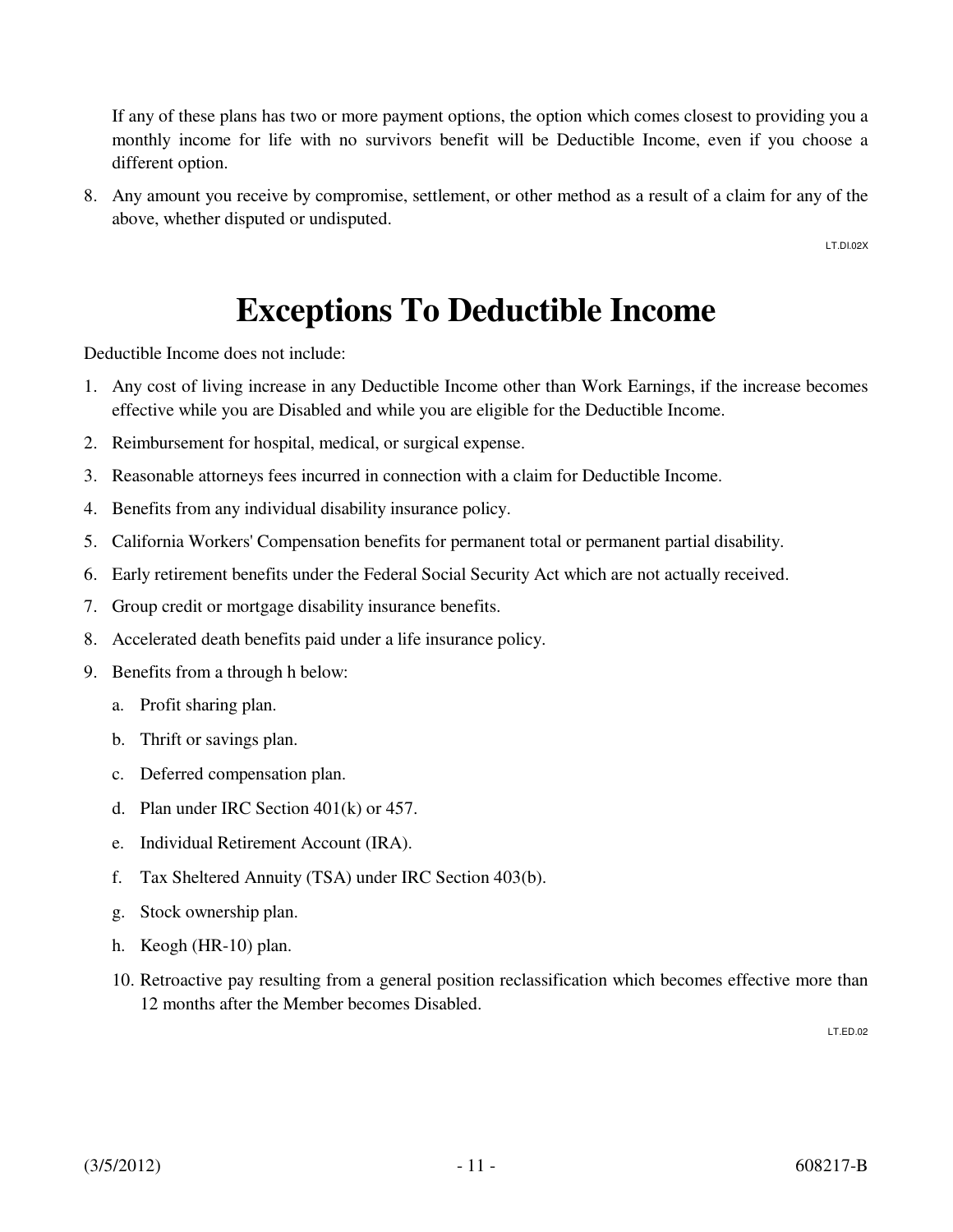If any of these plans has two or more payment options, the option which comes closest to providing you a monthly income for life with no survivors benefit will be Deductible Income, even if you choose a different option.

8. Any amount you receive by compromise, settlement, or other method as a result of a claim for any of the above, whether disputed or undisputed.

LT.DI.02X

## **Exceptions To Deductible Income**

Deductible Income does not include:

- 1. Any cost of living increase in any Deductible Income other than Work Earnings, if the increase becomes effective while you are Disabled and while you are eligible for the Deductible Income.
- 2. Reimbursement for hospital, medical, or surgical expense.
- 3. Reasonable attorneys fees incurred in connection with a claim for Deductible Income.
- 4. Benefits from any individual disability insurance policy.
- 5. California Workers' Compensation benefits for permanent total or permanent partial disability.
- 6. Early retirement benefits under the Federal Social Security Act which are not actually received.
- 7. Group credit or mortgage disability insurance benefits.
- 8. Accelerated death benefits paid under a life insurance policy.
- 9. Benefits from a through h below:
	- a. Profit sharing plan.
	- b. Thrift or savings plan.
	- c. Deferred compensation plan.
	- d. Plan under IRC Section 401(k) or 457.
	- e. Individual Retirement Account (IRA).
	- f. Tax Sheltered Annuity (TSA) under IRC Section 403(b).
	- g. Stock ownership plan.
	- h. Keogh (HR-10) plan.
	- 10. Retroactive pay resulting from a general position reclassification which becomes effective more than 12 months after the Member becomes Disabled.

LT.ED.02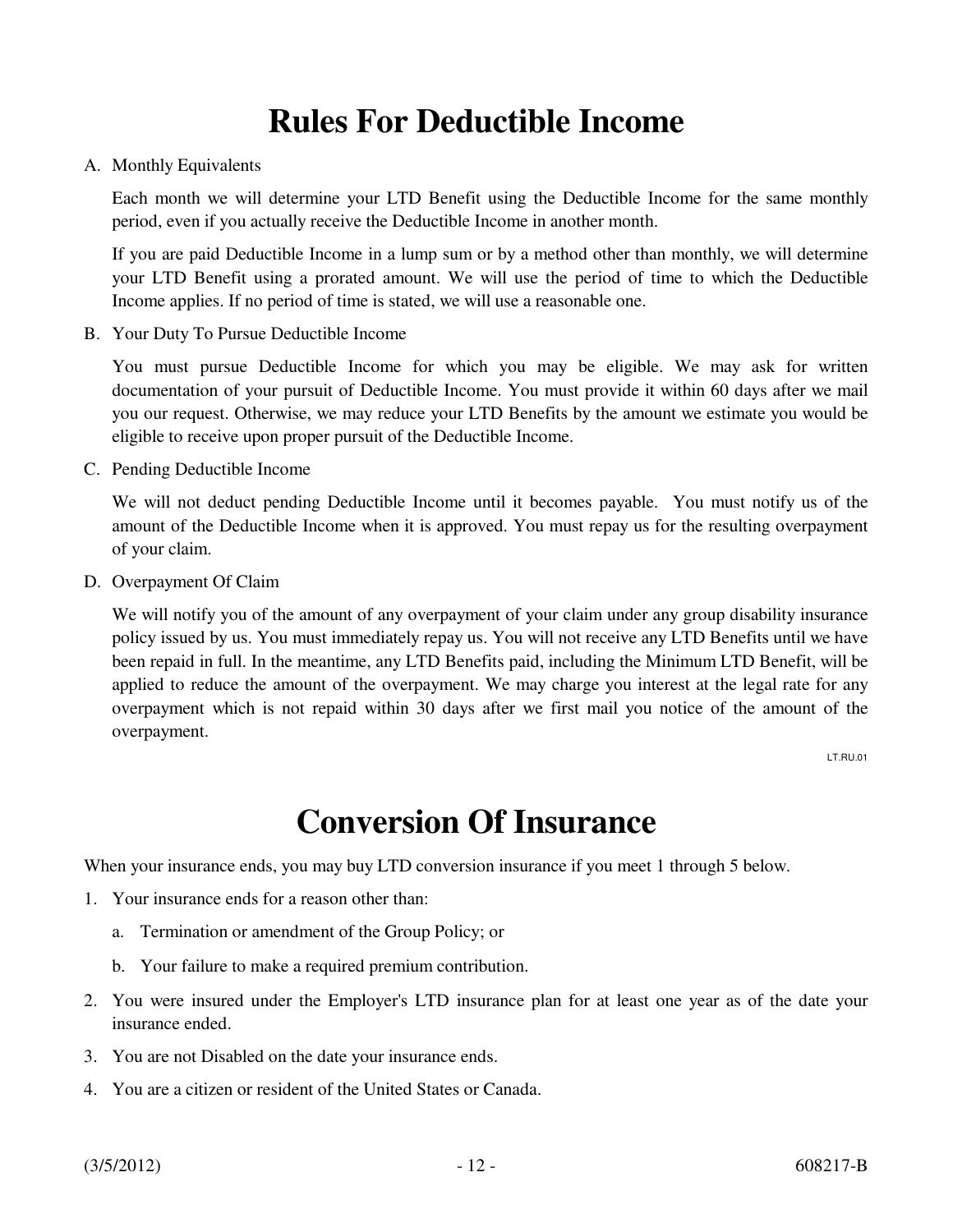## **Rules For Deductible Income**

#### A. Monthly Equivalents

Each month we will determine your LTD Benefit using the Deductible Income for the same monthly period, even if you actually receive the Deductible Income in another month.

If you are paid Deductible Income in a lump sum or by a method other than monthly, we will determine your LTD Benefit using a prorated amount. We will use the period of time to which the Deductible Income applies. If no period of time is stated, we will use a reasonable one.

B. Your Duty To Pursue Deductible Income

You must pursue Deductible Income for which you may be eligible. We may ask for written documentation of your pursuit of Deductible Income. You must provide it within 60 days after we mail you our request. Otherwise, we may reduce your LTD Benefits by the amount we estimate you would be eligible to receive upon proper pursuit of the Deductible Income.

C. Pending Deductible Income

We will not deduct pending Deductible Income until it becomes payable. You must notify us of the amount of the Deductible Income when it is approved. You must repay us for the resulting overpayment of your claim.

D. Overpayment Of Claim

We will notify you of the amount of any overpayment of your claim under any group disability insurance policy issued by us. You must immediately repay us. You will not receive any LTD Benefits until we have been repaid in full. In the meantime, any LTD Benefits paid, including the Minimum LTD Benefit, will be applied to reduce the amount of the overpayment. We may charge you interest at the legal rate for any overpayment which is not repaid within 30 days after we first mail you notice of the amount of the overpayment.

LT.RU.01

## **Conversion Of Insurance**

When your insurance ends, you may buy LTD conversion insurance if you meet 1 through 5 below.

- 1. Your insurance ends for a reason other than:
	- a. Termination or amendment of the Group Policy; or
	- b. Your failure to make a required premium contribution.
- 2. You were insured under the Employer's LTD insurance plan for at least one year as of the date your insurance ended.
- 3. You are not Disabled on the date your insurance ends.
- 4. You are a citizen or resident of the United States or Canada.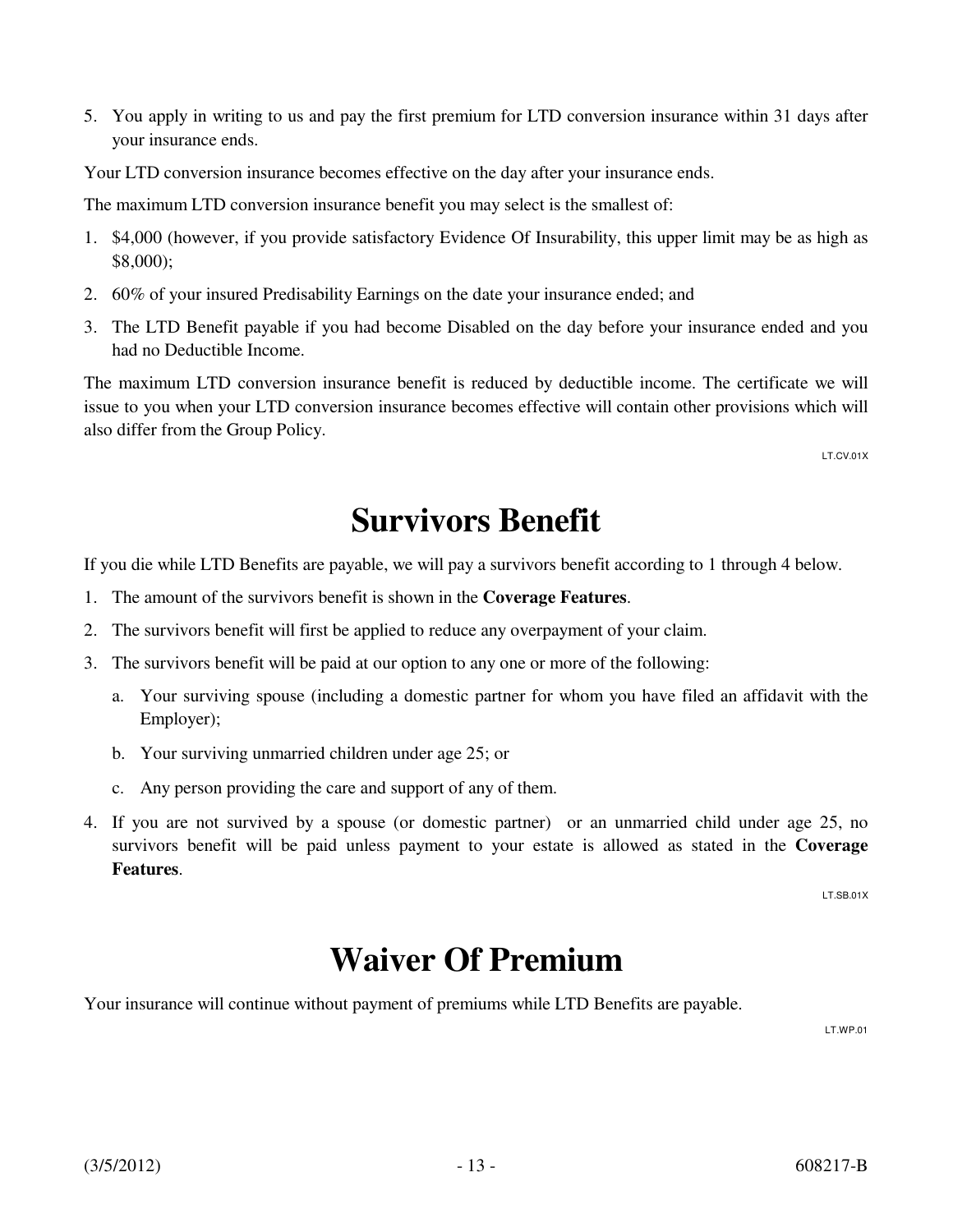5. You apply in writing to us and pay the first premium for LTD conversion insurance within 31 days after your insurance ends.

Your LTD conversion insurance becomes effective on the day after your insurance ends.

The maximum LTD conversion insurance benefit you may select is the smallest of:

- 1. \$4,000 (however, if you provide satisfactory Evidence Of Insurability, this upper limit may be as high as \$8,000);
- 2. 60% of your insured Predisability Earnings on the date your insurance ended; and
- 3. The LTD Benefit payable if you had become Disabled on the day before your insurance ended and you had no Deductible Income.

The maximum LTD conversion insurance benefit is reduced by deductible income. The certificate we will issue to you when your LTD conversion insurance becomes effective will contain other provisions which will also differ from the Group Policy.

LT.CV.01X

#### **Survivors Benefit**

If you die while LTD Benefits are payable, we will pay a survivors benefit according to 1 through 4 below.

- 1. The amount of the survivors benefit is shown in the **Coverage Features**.
- 2. The survivors benefit will first be applied to reduce any overpayment of your claim.
- 3. The survivors benefit will be paid at our option to any one or more of the following:
	- a. Your surviving spouse (including a domestic partner for whom you have filed an affidavit with the Employer);
	- b. Your surviving unmarried children under age 25; or
	- c. Any person providing the care and support of any of them.
- 4. If you are not survived by a spouse (or domestic partner) or an unmarried child under age 25, no survivors benefit will be paid unless payment to your estate is allowed as stated in the **Coverage Features**.

LT.SB.01X

#### **Waiver Of Premium**

Your insurance will continue without payment of premiums while LTD Benefits are payable.

LT.WP.01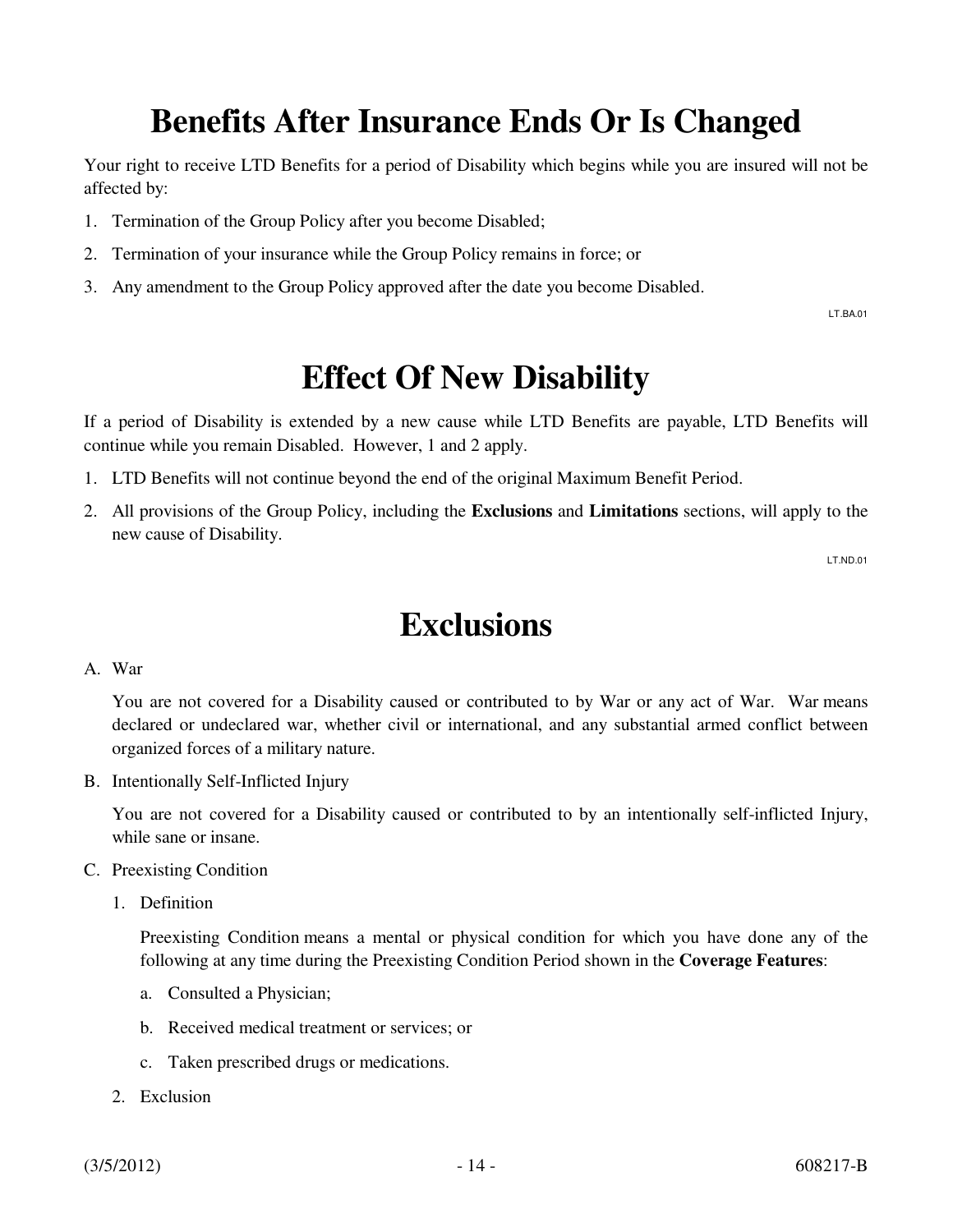## **Benefits After Insurance Ends Or Is Changed**

Your right to receive LTD Benefits for a period of Disability which begins while you are insured will not be affected by:

- 1. Termination of the Group Policy after you become Disabled;
- 2. Termination of your insurance while the Group Policy remains in force; or
- 3. Any amendment to the Group Policy approved after the date you become Disabled.

LT.BA.01

### **Effect Of New Disability**

If a period of Disability is extended by a new cause while LTD Benefits are payable, LTD Benefits will continue while you remain Disabled. However, 1 and 2 apply.

- 1. LTD Benefits will not continue beyond the end of the original Maximum Benefit Period.
- 2. All provisions of the Group Policy, including the **Exclusions** and **Limitations** sections, will apply to the new cause of Disability.

LT.ND.01

#### **Exclusions**

#### A. War

You are not covered for a Disability caused or contributed to by War or any act of War. War means declared or undeclared war, whether civil or international, and any substantial armed conflict between organized forces of a military nature.

B. Intentionally Self-Inflicted Injury

You are not covered for a Disability caused or contributed to by an intentionally self-inflicted Injury, while sane or insane.

- C. Preexisting Condition
	- 1. Definition

Preexisting Condition means a mental or physical condition for which you have done any of the following at any time during the Preexisting Condition Period shown in the **Coverage Features**:

- a. Consulted a Physician;
- b. Received medical treatment or services; or
- c. Taken prescribed drugs or medications.
- 2. Exclusion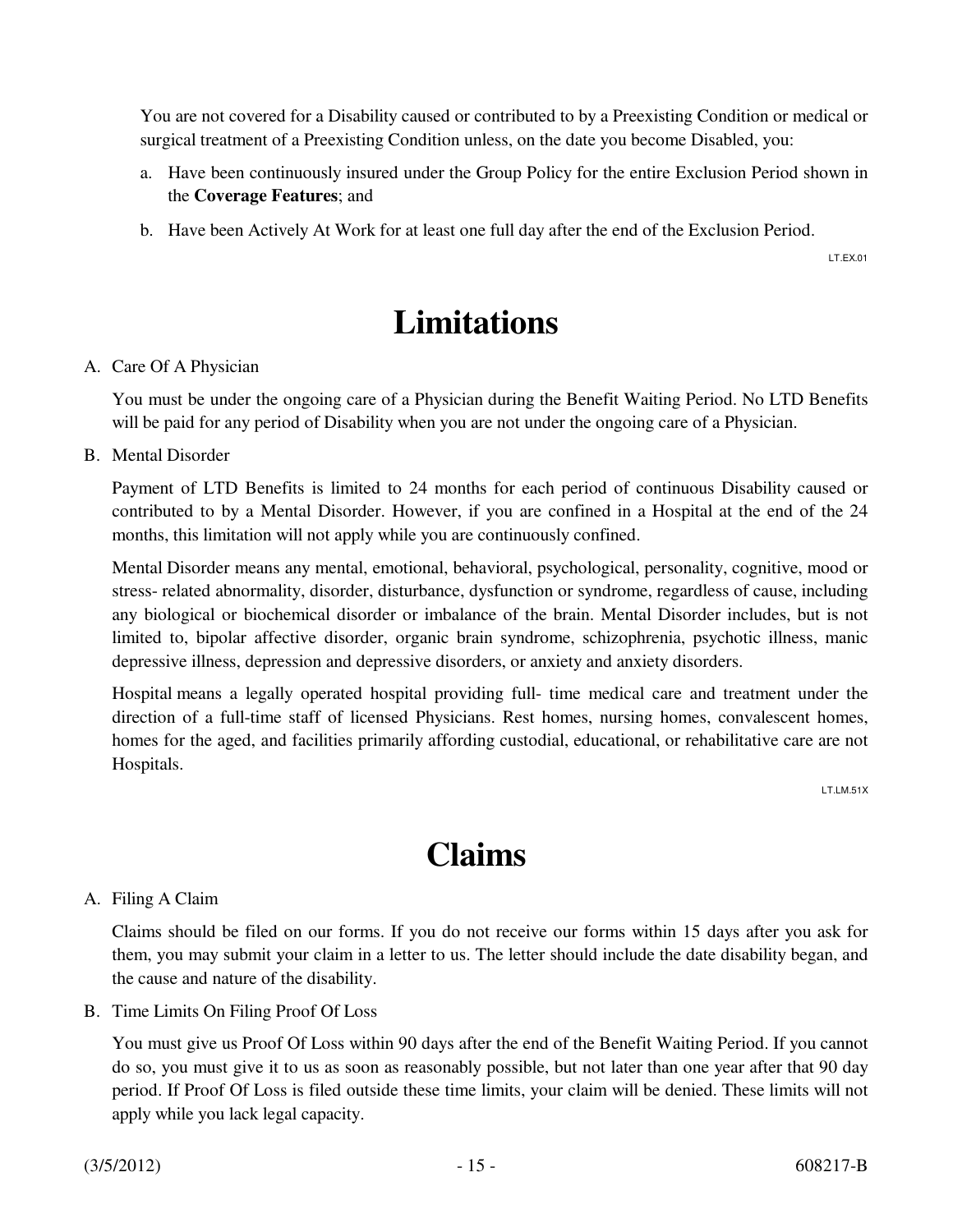You are not covered for a Disability caused or contributed to by a Preexisting Condition or medical or surgical treatment of a Preexisting Condition unless, on the date you become Disabled, you:

- a. Have been continuously insured under the Group Policy for the entire Exclusion Period shown in the **Coverage Features**; and
- b. Have been Actively At Work for at least one full day after the end of the Exclusion Period.

LT.EX.01

#### **Limitations**

#### A. Care Of A Physician

You must be under the ongoing care of a Physician during the Benefit Waiting Period. No LTD Benefits will be paid for any period of Disability when you are not under the ongoing care of a Physician.

B. Mental Disorder

Payment of LTD Benefits is limited to 24 months for each period of continuous Disability caused or contributed to by a Mental Disorder. However, if you are confined in a Hospital at the end of the 24 months, this limitation will not apply while you are continuously confined.

Mental Disorder means any mental, emotional, behavioral, psychological, personality, cognitive, mood or stress- related abnormality, disorder, disturbance, dysfunction or syndrome, regardless of cause, including any biological or biochemical disorder or imbalance of the brain. Mental Disorder includes, but is not limited to, bipolar affective disorder, organic brain syndrome, schizophrenia, psychotic illness, manic depressive illness, depression and depressive disorders, or anxiety and anxiety disorders.

Hospital means a legally operated hospital providing full- time medical care and treatment under the direction of a full-time staff of licensed Physicians. Rest homes, nursing homes, convalescent homes, homes for the aged, and facilities primarily affording custodial, educational, or rehabilitative care are not Hospitals.

LT.LM.51X

## **Claims**

#### A. Filing A Claim

Claims should be filed on our forms. If you do not receive our forms within 15 days after you ask for them, you may submit your claim in a letter to us. The letter should include the date disability began, and the cause and nature of the disability.

B. Time Limits On Filing Proof Of Loss

You must give us Proof Of Loss within 90 days after the end of the Benefit Waiting Period. If you cannot do so, you must give it to us as soon as reasonably possible, but not later than one year after that 90 day period. If Proof Of Loss is filed outside these time limits, your claim will be denied. These limits will not apply while you lack legal capacity.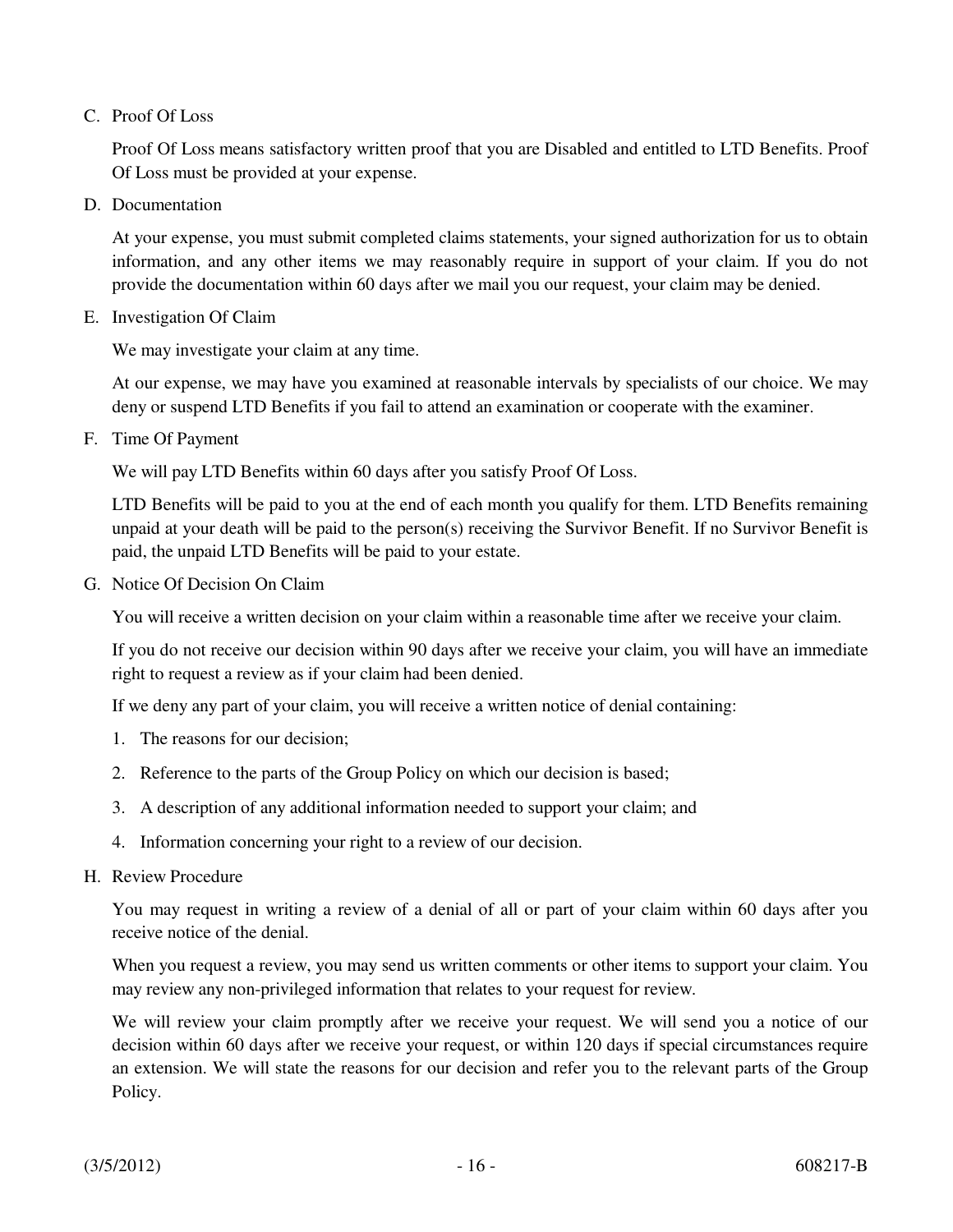C. Proof Of Loss

Proof Of Loss means satisfactory written proof that you are Disabled and entitled to LTD Benefits. Proof Of Loss must be provided at your expense.

D. Documentation

At your expense, you must submit completed claims statements, your signed authorization for us to obtain information, and any other items we may reasonably require in support of your claim. If you do not provide the documentation within 60 days after we mail you our request, your claim may be denied.

E. Investigation Of Claim

We may investigate your claim at any time.

At our expense, we may have you examined at reasonable intervals by specialists of our choice. We may deny or suspend LTD Benefits if you fail to attend an examination or cooperate with the examiner.

F. Time Of Payment

We will pay LTD Benefits within 60 days after you satisfy Proof Of Loss.

LTD Benefits will be paid to you at the end of each month you qualify for them. LTD Benefits remaining unpaid at your death will be paid to the person(s) receiving the Survivor Benefit. If no Survivor Benefit is paid, the unpaid LTD Benefits will be paid to your estate.

G. Notice Of Decision On Claim

You will receive a written decision on your claim within a reasonable time after we receive your claim.

If you do not receive our decision within 90 days after we receive your claim, you will have an immediate right to request a review as if your claim had been denied.

If we deny any part of your claim, you will receive a written notice of denial containing:

- 1. The reasons for our decision;
- 2. Reference to the parts of the Group Policy on which our decision is based;
- 3. A description of any additional information needed to support your claim; and
- 4. Information concerning your right to a review of our decision.
- H. Review Procedure

You may request in writing a review of a denial of all or part of your claim within 60 days after you receive notice of the denial.

When you request a review, you may send us written comments or other items to support your claim. You may review any non-privileged information that relates to your request for review.

We will review your claim promptly after we receive your request. We will send you a notice of our decision within 60 days after we receive your request, or within 120 days if special circumstances require an extension. We will state the reasons for our decision and refer you to the relevant parts of the Group Policy.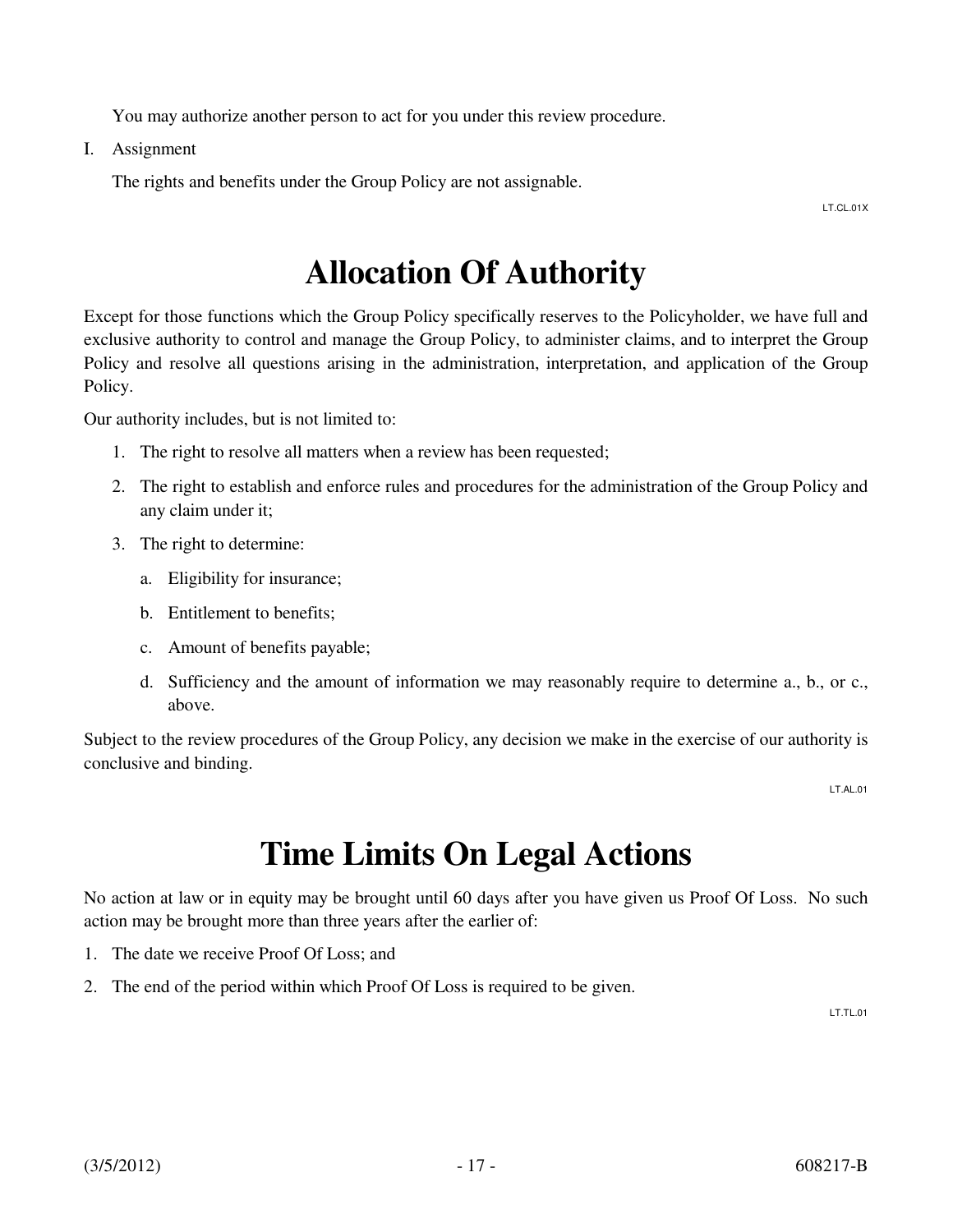You may authorize another person to act for you under this review procedure.

I. Assignment

The rights and benefits under the Group Policy are not assignable.

LT.CL.01X

# **Allocation Of Authority**

Except for those functions which the Group Policy specifically reserves to the Policyholder, we have full and exclusive authority to control and manage the Group Policy, to administer claims, and to interpret the Group Policy and resolve all questions arising in the administration, interpretation, and application of the Group Policy.

Our authority includes, but is not limited to:

- 1. The right to resolve all matters when a review has been requested;
- 2. The right to establish and enforce rules and procedures for the administration of the Group Policy and any claim under it;
- 3. The right to determine:
	- a. Eligibility for insurance;
	- b. Entitlement to benefits;
	- c. Amount of benefits payable;
	- d. Sufficiency and the amount of information we may reasonably require to determine a., b., or c., above.

Subject to the review procedures of the Group Policy, any decision we make in the exercise of our authority is conclusive and binding.

LT.AL.01

# **Time Limits On Legal Actions**

No action at law or in equity may be brought until 60 days after you have given us Proof Of Loss. No such action may be brought more than three years after the earlier of:

- 1. The date we receive Proof Of Loss; and
- 2. The end of the period within which Proof Of Loss is required to be given.

LT.TL.01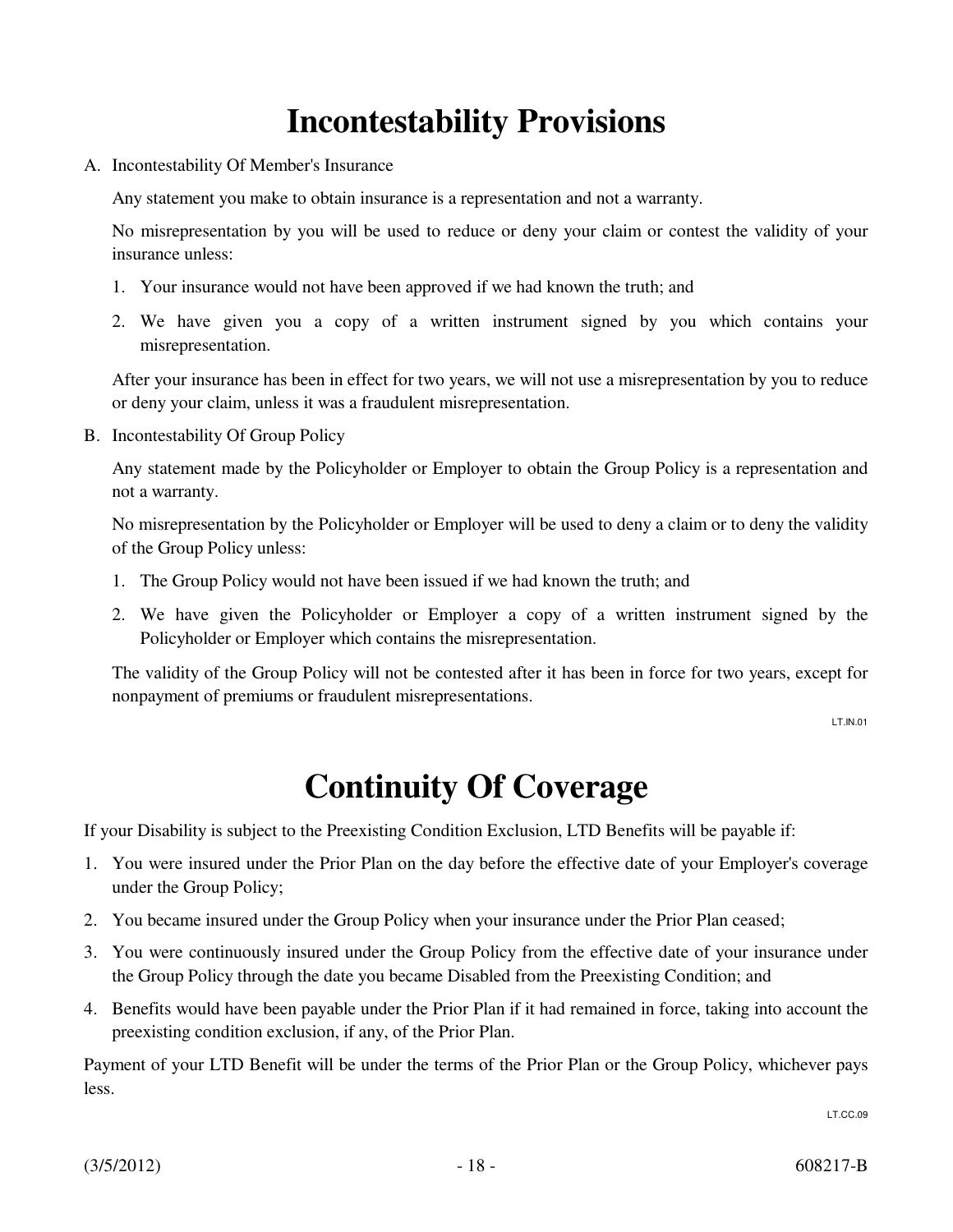# **Incontestability Provisions**

A. Incontestability Of Member's Insurance

Any statement you make to obtain insurance is a representation and not a warranty.

No misrepresentation by you will be used to reduce or deny your claim or contest the validity of your insurance unless:

- 1. Your insurance would not have been approved if we had known the truth; and
- 2. We have given you a copy of a written instrument signed by you which contains your misrepresentation.

After your insurance has been in effect for two years, we will not use a misrepresentation by you to reduce or deny your claim, unless it was a fraudulent misrepresentation.

B. Incontestability Of Group Policy

Any statement made by the Policyholder or Employer to obtain the Group Policy is a representation and not a warranty.

No misrepresentation by the Policyholder or Employer will be used to deny a claim or to deny the validity of the Group Policy unless:

- 1. The Group Policy would not have been issued if we had known the truth; and
- 2. We have given the Policyholder or Employer a copy of a written instrument signed by the Policyholder or Employer which contains the misrepresentation.

The validity of the Group Policy will not be contested after it has been in force for two years, except for nonpayment of premiums or fraudulent misrepresentations.

LT.IN.01

## **Continuity Of Coverage**

If your Disability is subject to the Preexisting Condition Exclusion, LTD Benefits will be payable if:

- 1. You were insured under the Prior Plan on the day before the effective date of your Employer's coverage under the Group Policy;
- 2. You became insured under the Group Policy when your insurance under the Prior Plan ceased;
- 3. You were continuously insured under the Group Policy from the effective date of your insurance under the Group Policy through the date you became Disabled from the Preexisting Condition; and
- 4. Benefits would have been payable under the Prior Plan if it had remained in force, taking into account the preexisting condition exclusion, if any, of the Prior Plan.

Payment of your LTD Benefit will be under the terms of the Prior Plan or the Group Policy, whichever pays less.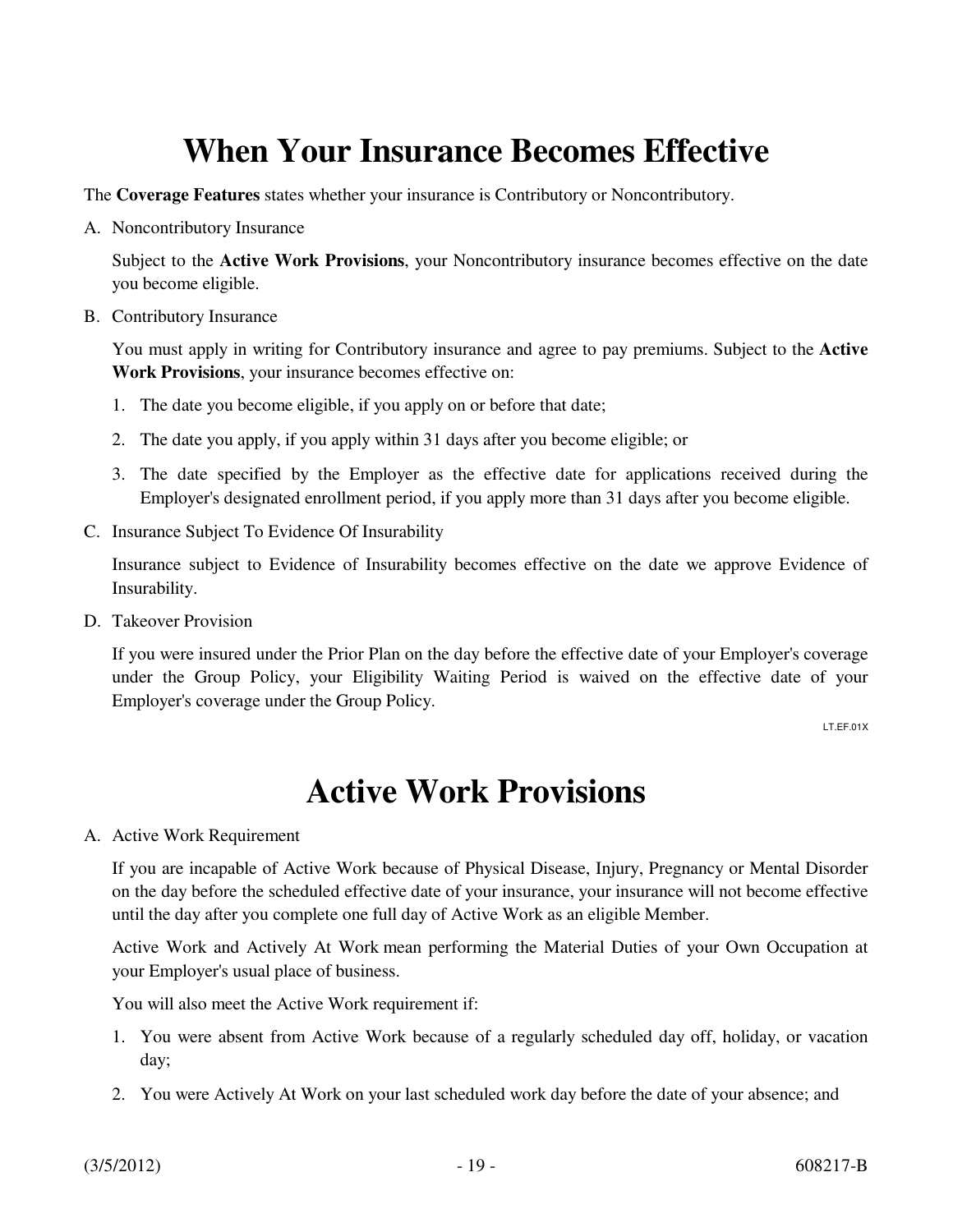## **When Your Insurance Becomes Effective**

The **Coverage Features** states whether your insurance is Contributory or Noncontributory.

A. Noncontributory Insurance

Subject to the **Active Work Provisions**, your Noncontributory insurance becomes effective on the date you become eligible.

B. Contributory Insurance

You must apply in writing for Contributory insurance and agree to pay premiums. Subject to the **Active Work Provisions**, your insurance becomes effective on:

- 1. The date you become eligible, if you apply on or before that date;
- 2. The date you apply, if you apply within 31 days after you become eligible; or
- 3. The date specified by the Employer as the effective date for applications received during the Employer's designated enrollment period, if you apply more than 31 days after you become eligible.
- C. Insurance Subject To Evidence Of Insurability

Insurance subject to Evidence of Insurability becomes effective on the date we approve Evidence of Insurability.

D. Takeover Provision

If you were insured under the Prior Plan on the day before the effective date of your Employer's coverage under the Group Policy, your Eligibility Waiting Period is waived on the effective date of your Employer's coverage under the Group Policy.

LT.EF.01X

#### **Active Work Provisions**

A. Active Work Requirement

If you are incapable of Active Work because of Physical Disease, Injury, Pregnancy or Mental Disorder on the day before the scheduled effective date of your insurance, your insurance will not become effective until the day after you complete one full day of Active Work as an eligible Member.

Active Work and Actively At Work mean performing the Material Duties of your Own Occupation at your Employer's usual place of business.

You will also meet the Active Work requirement if:

- 1. You were absent from Active Work because of a regularly scheduled day off, holiday, or vacation day;
- 2. You were Actively At Work on your last scheduled work day before the date of your absence; and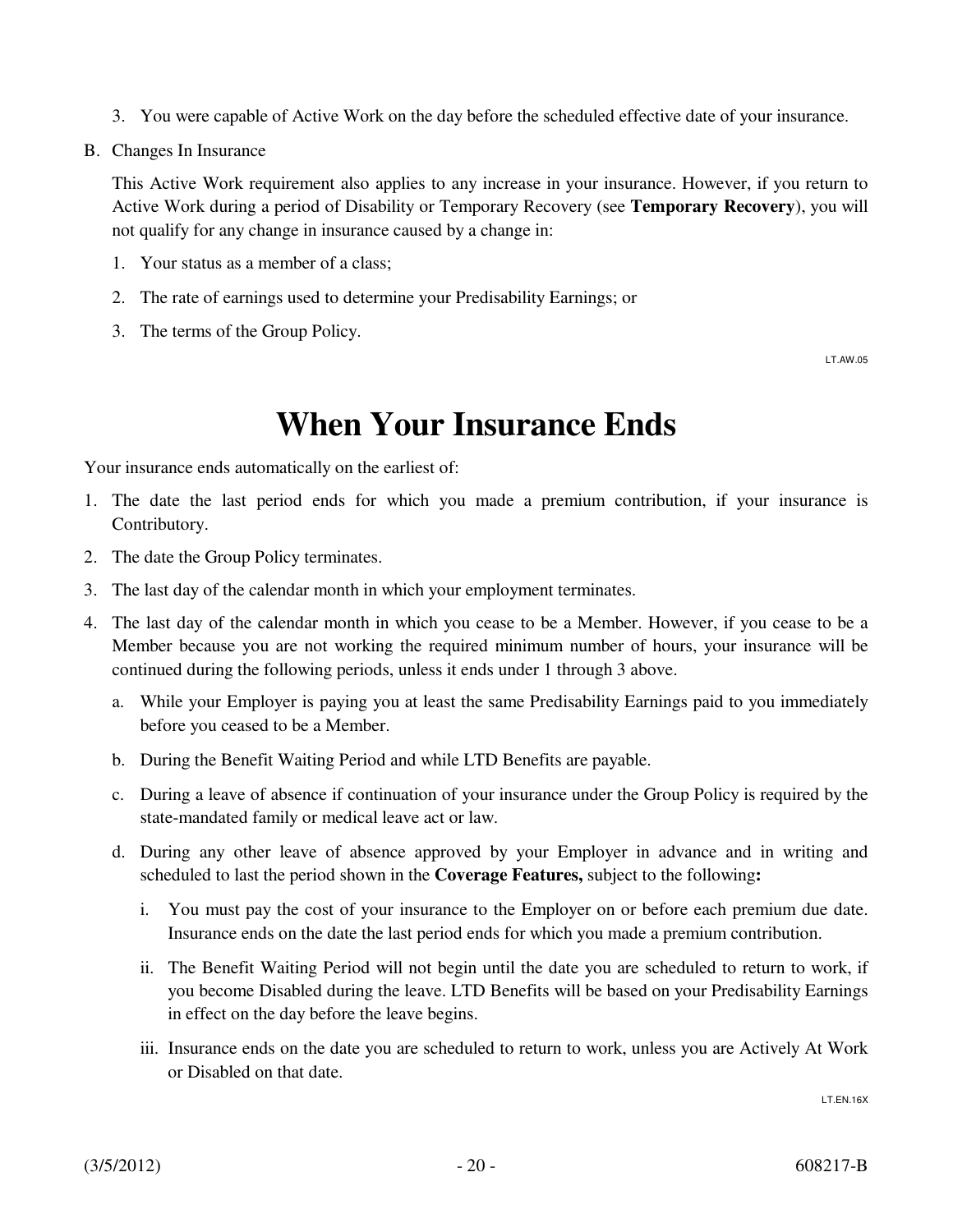- 3. You were capable of Active Work on the day before the scheduled effective date of your insurance.
- B. Changes In Insurance

This Active Work requirement also applies to any increase in your insurance. However, if you return to Active Work during a period of Disability or Temporary Recovery (see **Temporary Recovery**), you will not qualify for any change in insurance caused by a change in:

- 1. Your status as a member of a class;
- 2. The rate of earnings used to determine your Predisability Earnings; or
- 3. The terms of the Group Policy.

LT.AW.05

#### **When Your Insurance Ends**

Your insurance ends automatically on the earliest of:

- 1. The date the last period ends for which you made a premium contribution, if your insurance is Contributory.
- 2. The date the Group Policy terminates.
- 3. The last day of the calendar month in which your employment terminates.
- 4. The last day of the calendar month in which you cease to be a Member. However, if you cease to be a Member because you are not working the required minimum number of hours, your insurance will be continued during the following periods, unless it ends under 1 through 3 above.
	- a. While your Employer is paying you at least the same Predisability Earnings paid to you immediately before you ceased to be a Member.
	- b. During the Benefit Waiting Period and while LTD Benefits are payable.
	- c. During a leave of absence if continuation of your insurance under the Group Policy is required by the state-mandated family or medical leave act or law.
	- d. During any other leave of absence approved by your Employer in advance and in writing and scheduled to last the period shown in the **Coverage Features,** subject to the following**:**
		- i. You must pay the cost of your insurance to the Employer on or before each premium due date. Insurance ends on the date the last period ends for which you made a premium contribution.
		- ii. The Benefit Waiting Period will not begin until the date you are scheduled to return to work, if you become Disabled during the leave. LTD Benefits will be based on your Predisability Earnings in effect on the day before the leave begins.
		- iii. Insurance ends on the date you are scheduled to return to work, unless you are Actively At Work or Disabled on that date.

LT.EN.16X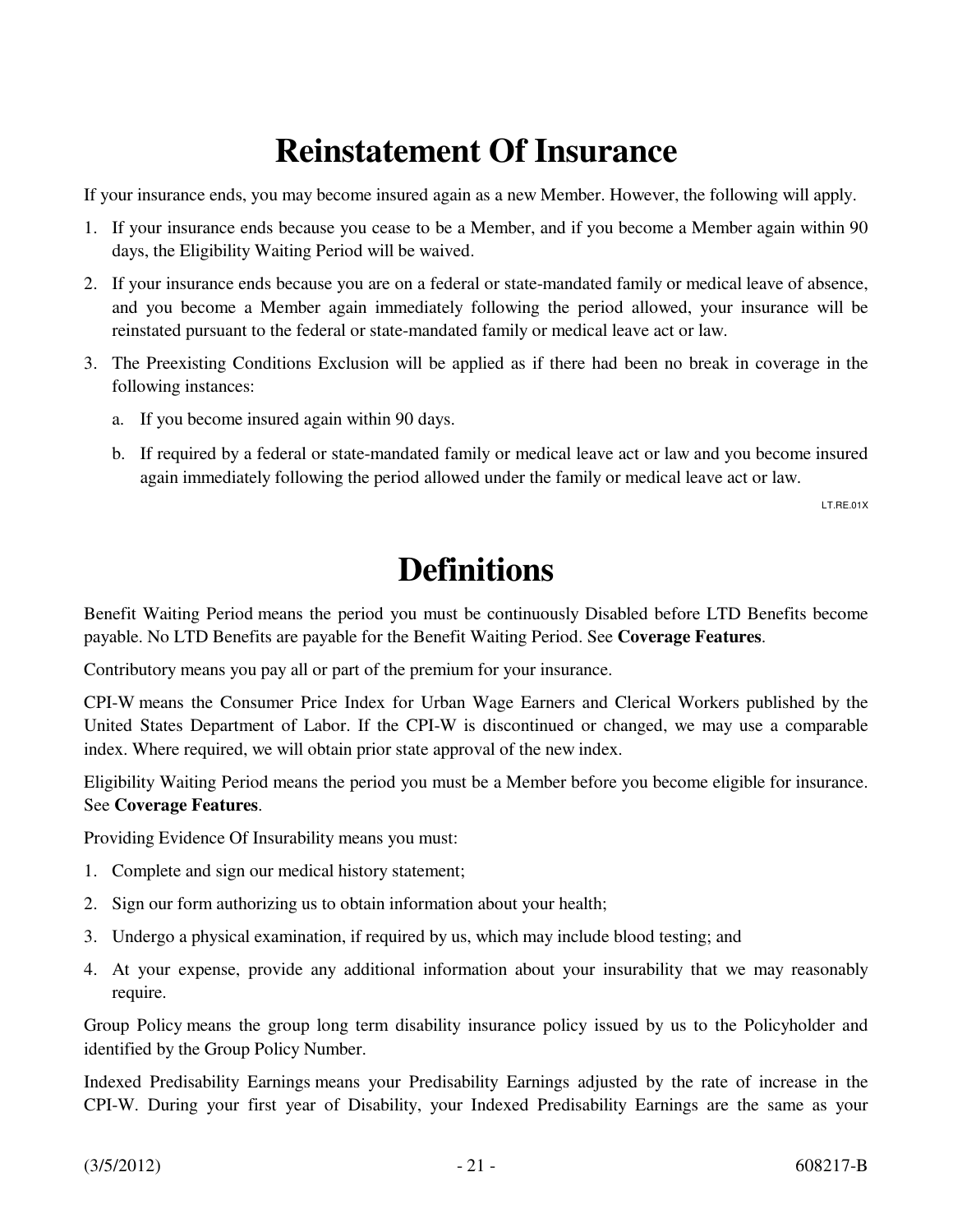# **Reinstatement Of Insurance**

If your insurance ends, you may become insured again as a new Member. However, the following will apply.

- 1. If your insurance ends because you cease to be a Member, and if you become a Member again within 90 days, the Eligibility Waiting Period will be waived.
- 2. If your insurance ends because you are on a federal or state-mandated family or medical leave of absence, and you become a Member again immediately following the period allowed, your insurance will be reinstated pursuant to the federal or state-mandated family or medical leave act or law.
- 3. The Preexisting Conditions Exclusion will be applied as if there had been no break in coverage in the following instances:
	- a. If you become insured again within 90 days.
	- b. If required by a federal or state-mandated family or medical leave act or law and you become insured again immediately following the period allowed under the family or medical leave act or law.

LT.RE.01X

### **Definitions**

Benefit Waiting Period means the period you must be continuously Disabled before LTD Benefits become payable. No LTD Benefits are payable for the Benefit Waiting Period. See **Coverage Features**.

Contributory means you pay all or part of the premium for your insurance.

CPI-W means the Consumer Price Index for Urban Wage Earners and Clerical Workers published by the United States Department of Labor. If the CPI-W is discontinued or changed, we may use a comparable index. Where required, we will obtain prior state approval of the new index.

Eligibility Waiting Period means the period you must be a Member before you become eligible for insurance. See **Coverage Features**.

Providing Evidence Of Insurability means you must:

- 1. Complete and sign our medical history statement;
- 2. Sign our form authorizing us to obtain information about your health;
- 3. Undergo a physical examination, if required by us, which may include blood testing; and
- 4. At your expense, provide any additional information about your insurability that we may reasonably require.

Group Policy means the group long term disability insurance policy issued by us to the Policyholder and identified by the Group Policy Number.

Indexed Predisability Earnings means your Predisability Earnings adjusted by the rate of increase in the CPI-W. During your first year of Disability, your Indexed Predisability Earnings are the same as your